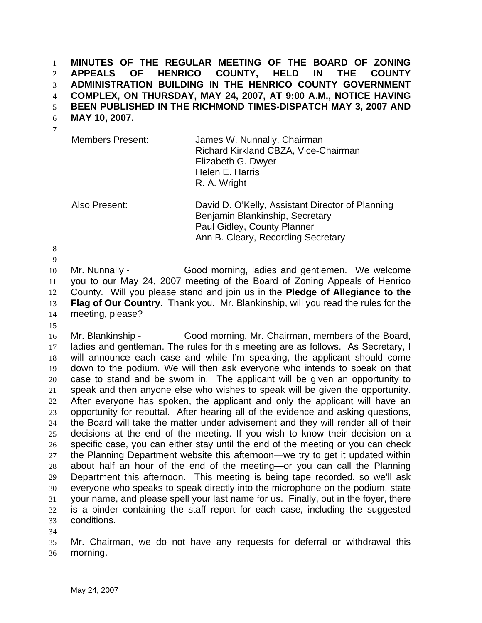**MINUTES OF THE REGULAR MEETING OF THE BOARD OF ZONING APPEALS OF HENRICO COUNTY, HELD IN THE COUNTY ADMINISTRATION BUILDING IN THE HENRICO COUNTY GOVERNMENT COMPLEX, ON THURSDAY, MAY 24, 2007, AT 9:00 A.M., NOTICE HAVING BEEN PUBLISHED IN THE RICHMOND TIMES-DISPATCH MAY 3, 2007 AND**  1 2 3 4 5

**MAY 10, 2007.**  6

| ۰. |  |
|----|--|
|    |  |

| <b>Members Present:</b> | James W. Nunnally, Chairman<br>Richard Kirkland CBZA, Vice-Chairman<br>Elizabeth G. Dwyer<br>Helen E. Harris<br>R. A. Wright |
|-------------------------|------------------------------------------------------------------------------------------------------------------------------|
|                         |                                                                                                                              |

Also Present: David D. O'Kelly, Assistant Director of Planning Benjamin Blankinship, Secretary Paul Gidley, County Planner Ann B. Cleary, Recording Secretary

8 9

10 11 12 13 14 Mr. Nunnally - Good morning, ladies and gentlemen. We welcome you to our May 24, 2007 meeting of the Board of Zoning Appeals of Henrico County. Will you please stand and join us in the **Pledge of Allegiance to the Flag of Our Country**. Thank you. Mr. Blankinship, will you read the rules for the meeting, please?

15

16 17 18 19 20 21 22 23 24 25 26 27 28 29 30 31 32 33 Mr. Blankinship - Good morning, Mr. Chairman, members of the Board, ladies and gentleman. The rules for this meeting are as follows. As Secretary, I will announce each case and while I'm speaking, the applicant should come down to the podium. We will then ask everyone who intends to speak on that case to stand and be sworn in. The applicant will be given an opportunity to speak and then anyone else who wishes to speak will be given the opportunity. After everyone has spoken, the applicant and only the applicant will have an opportunity for rebuttal. After hearing all of the evidence and asking questions, the Board will take the matter under advisement and they will render all of their decisions at the end of the meeting. If you wish to know their decision on a specific case, you can either stay until the end of the meeting or you can check the Planning Department website this afternoon—we try to get it updated within about half an hour of the end of the meeting—or you can call the Planning Department this afternoon. This meeting is being tape recorded, so we'll ask everyone who speaks to speak directly into the microphone on the podium, state your name, and please spell your last name for us. Finally, out in the foyer, there is a binder containing the staff report for each case, including the suggested conditions.

34

35 36 Mr. Chairman, we do not have any requests for deferral or withdrawal this morning.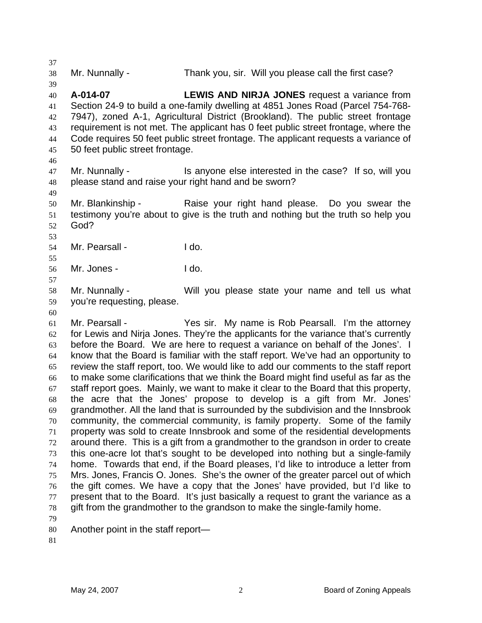38 Mr. Nunnally - Thank you, sir. Will you please call the first case?

- 40 41 42 43 44 45 **A-014-07 LEWIS AND NIRJA JONES** request a variance from Section 24-9 to build a one-family dwelling at 4851 Jones Road (Parcel 754-768- 7947), zoned A-1, Agricultural District (Brookland). The public street frontage requirement is not met. The applicant has 0 feet public street frontage, where the Code requires 50 feet public street frontage. The applicant requests a variance of 50 feet public street frontage.
- 46

49

53

55

57

37

39

47 48 Mr. Nunnally - Is anyone else interested in the case? If so, will you please stand and raise your right hand and be sworn?

50 51 52 Mr. Blankinship - The Raise your right hand please. Do you swear the testimony you're about to give is the truth and nothing but the truth so help you God?

54 Mr. Pearsall - The I do.

56 Mr. Jones - I do.

58 59 Mr. Nunnally - Will you please state your name and tell us what you're requesting, please.

60

61 62 63 64 65 66 67 68 69 70 71 72 73 74 75 76 77 78 Mr. Pearsall - Yes sir. My name is Rob Pearsall. I'm the attorney for Lewis and Nirja Jones. They're the applicants for the variance that's currently before the Board. We are here to request a variance on behalf of the Jones'. I know that the Board is familiar with the staff report. We've had an opportunity to review the staff report, too. We would like to add our comments to the staff report to make some clarifications that we think the Board might find useful as far as the staff report goes. Mainly, we want to make it clear to the Board that this property, the acre that the Jones' propose to develop is a gift from Mr. Jones' grandmother. All the land that is surrounded by the subdivision and the Innsbrook community, the commercial community, is family property. Some of the family property was sold to create Innsbrook and some of the residential developments around there. This is a gift from a grandmother to the grandson in order to create this one-acre lot that's sought to be developed into nothing but a single-family home. Towards that end, if the Board pleases, I'd like to introduce a letter from Mrs. Jones, Francis O. Jones. She's the owner of the greater parcel out of which the gift comes. We have a copy that the Jones' have provided, but I'd like to present that to the Board. It's just basically a request to grant the variance as a gift from the grandmother to the grandson to make the single-family home.

- 79
- 80 Another point in the staff report—
- 81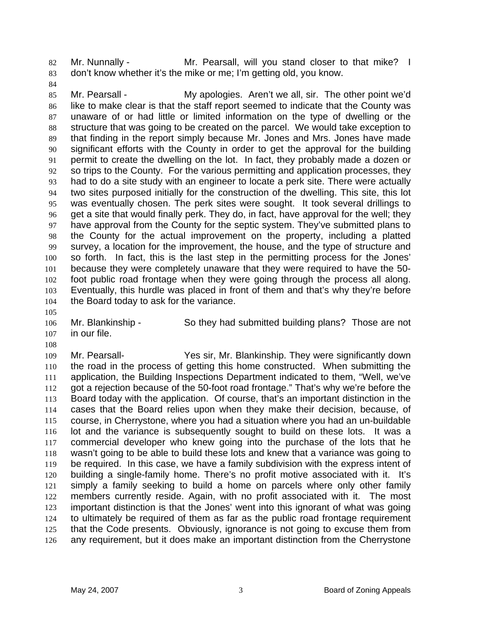Mr. Nunnally - Mr. Pearsall, will you stand closer to that mike? I don't know whether it's the mike or me; I'm getting old, you know. 82 83

84

85 86 87 88 89 90 91 92 93 94 95 96 97 98 99 100 101 102 103 104 Mr. Pearsall - My apologies. Aren't we all, sir. The other point we'd like to make clear is that the staff report seemed to indicate that the County was unaware of or had little or limited information on the type of dwelling or the structure that was going to be created on the parcel. We would take exception to that finding in the report simply because Mr. Jones and Mrs. Jones have made significant efforts with the County in order to get the approval for the building permit to create the dwelling on the lot. In fact, they probably made a dozen or so trips to the County. For the various permitting and application processes, they had to do a site study with an engineer to locate a perk site. There were actually two sites purposed initially for the construction of the dwelling. This site, this lot was eventually chosen. The perk sites were sought. It took several drillings to get a site that would finally perk. They do, in fact, have approval for the well; they have approval from the County for the septic system. They've submitted plans to the County for the actual improvement on the property, including a platted survey, a location for the improvement, the house, and the type of structure and so forth. In fact, this is the last step in the permitting process for the Jones' because they were completely unaware that they were required to have the 50 foot public road frontage when they were going through the process all along. Eventually, this hurdle was placed in front of them and that's why they're before the Board today to ask for the variance.

106 107 Mr. Blankinship - So they had submitted building plans? Those are not in our file.

108

105

109 110 111 112 113 114 115 116 117 118 119 120 121 122 123 124 125 126 Mr. Pearsall- Yes sir, Mr. Blankinship. They were significantly down the road in the process of getting this home constructed. When submitting the application, the Building Inspections Department indicated to them, "Well, we've got a rejection because of the 50-foot road frontage." That's why we're before the Board today with the application. Of course, that's an important distinction in the cases that the Board relies upon when they make their decision, because, of course, in Cherrystone, where you had a situation where you had an un-buildable lot and the variance is subsequently sought to build on these lots. It was a commercial developer who knew going into the purchase of the lots that he wasn't going to be able to build these lots and knew that a variance was going to be required. In this case, we have a family subdivision with the express intent of building a single-family home. There's no profit motive associated with it. It's simply a family seeking to build a home on parcels where only other family members currently reside. Again, with no profit associated with it. The most important distinction is that the Jones' went into this ignorant of what was going to ultimately be required of them as far as the public road frontage requirement that the Code presents. Obviously, ignorance is not going to excuse them from any requirement, but it does make an important distinction from the Cherrystone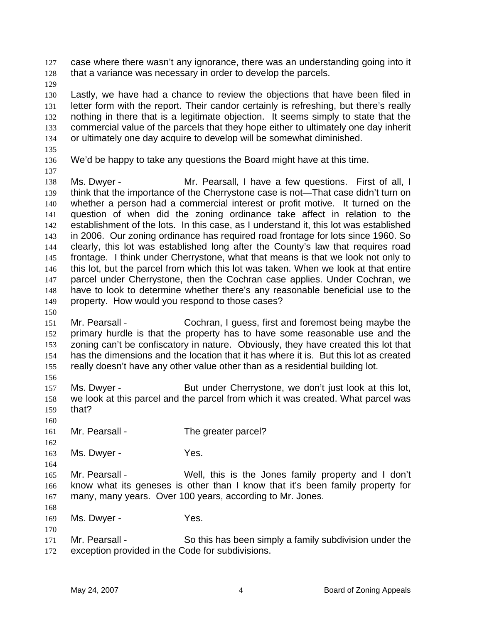case where there wasn't any ignorance, there was an understanding going into it that a variance was necessary in order to develop the parcels. 127 128

129

130 131 132 133 134 Lastly, we have had a chance to review the objections that have been filed in letter form with the report. Their candor certainly is refreshing, but there's really nothing in there that is a legitimate objection. It seems simply to state that the commercial value of the parcels that they hope either to ultimately one day inherit or ultimately one day acquire to develop will be somewhat diminished.

135

137

150

156

160

164

168

170

136 We'd be happy to take any questions the Board might have at this time.

138 139 140 141 142 143 144 145 146 147 148 149 Ms. Dwyer - The Mr. Pearsall, I have a few questions. First of all, I think that the importance of the Cherrystone case is not—That case didn't turn on whether a person had a commercial interest or profit motive. It turned on the question of when did the zoning ordinance take affect in relation to the establishment of the lots. In this case, as I understand it, this lot was established in 2006. Our zoning ordinance has required road frontage for lots since 1960. So clearly, this lot was established long after the County's law that requires road frontage. I think under Cherrystone, what that means is that we look not only to this lot, but the parcel from which this lot was taken. When we look at that entire parcel under Cherrystone, then the Cochran case applies. Under Cochran, we have to look to determine whether there's any reasonable beneficial use to the property. How would you respond to those cases?

- 151 152 153 154 155 Mr. Pearsall - Cochran, I guess, first and foremost being maybe the primary hurdle is that the property has to have some reasonable use and the zoning can't be confiscatory in nature. Obviously, they have created this lot that has the dimensions and the location that it has where it is. But this lot as created really doesn't have any other value other than as a residential building lot.
- 157 158 159 Ms. Dwyer - But under Cherrystone, we don't just look at this lot, we look at this parcel and the parcel from which it was created. What parcel was that?
- 161 Mr. Pearsall - The greater parcel?
- 162 163 Ms. Dwyer - Yes.
- 165 166 167 Mr. Pearsall - Well, this is the Jones family property and I don't know what its geneses is other than I know that it's been family property for many, many years. Over 100 years, according to Mr. Jones.
- 169 Ms. Dwyer - Yes.
- 171 172 Mr. Pearsall - So this has been simply a family subdivision under the exception provided in the Code for subdivisions.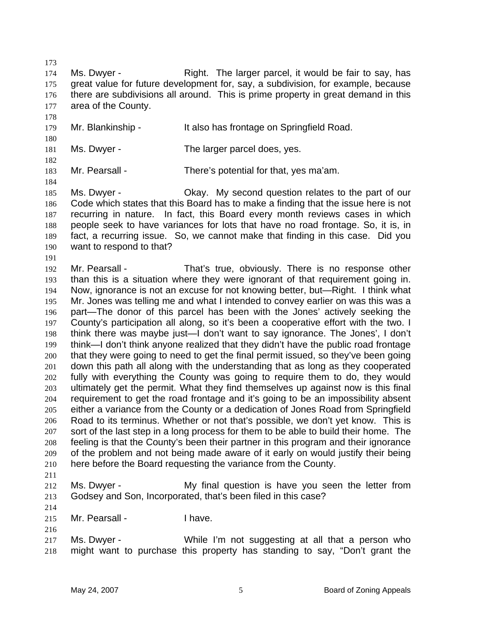173

178

180

182

184

191

174 175 176 177 Ms. Dwyer - Right. The larger parcel, it would be fair to say, has great value for future development for, say, a subdivision, for example, because there are subdivisions all around. This is prime property in great demand in this area of the County.

179 Mr. Blankinship - It also has frontage on Springfield Road.

181 Ms. Dwyer - The larger parcel does, yes.

183 Mr. Pearsall - There's potential for that, yes ma'am.

185 186 187 188 189 190 Ms. Dwyer - Okay. My second question relates to the part of our Code which states that this Board has to make a finding that the issue here is not recurring in nature. In fact, this Board every month reviews cases in which people seek to have variances for lots that have no road frontage. So, it is, in fact, a recurring issue. So, we cannot make that finding in this case. Did you want to respond to that?

- 192 193 194 195 196 197 198 199 200 201 202 203 204 205 206 207 208 209 210 Mr. Pearsall - That's true, obviously. There is no response other than this is a situation where they were ignorant of that requirement going in. Now, ignorance is not an excuse for not knowing better, but—Right. I think what Mr. Jones was telling me and what I intended to convey earlier on was this was a part—The donor of this parcel has been with the Jones' actively seeking the County's participation all along, so it's been a cooperative effort with the two. I think there was maybe just—I don't want to say ignorance. The Jones', I don't think—I don't think anyone realized that they didn't have the public road frontage that they were going to need to get the final permit issued, so they've been going down this path all along with the understanding that as long as they cooperated fully with everything the County was going to require them to do, they would ultimately get the permit. What they find themselves up against now is this final requirement to get the road frontage and it's going to be an impossibility absent either a variance from the County or a dedication of Jones Road from Springfield Road to its terminus. Whether or not that's possible, we don't yet know. This is sort of the last step in a long process for them to be able to build their home. The feeling is that the County's been their partner in this program and their ignorance of the problem and not being made aware of it early on would justify their being here before the Board requesting the variance from the County.
- 211
- 212 213 Ms. Dwyer - My final question is have you seen the letter from Godsey and Son, Incorporated, that's been filed in this case?
- 214 215

- Mr. Pearsall Thave.
- 217 218 Ms. Dwyer - While I'm not suggesting at all that a person who might want to purchase this property has standing to say, "Don't grant the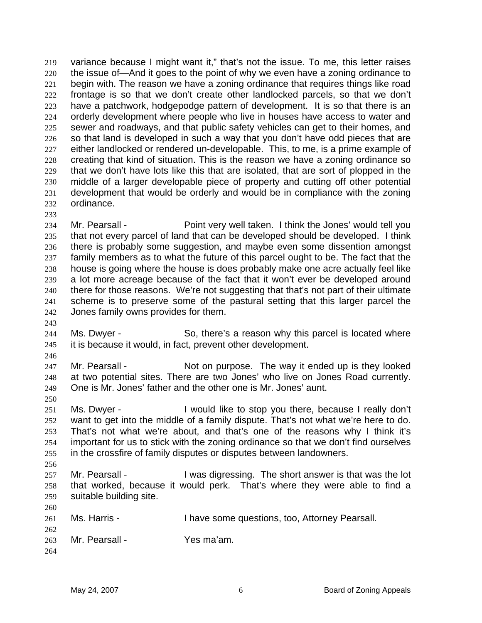variance because I might want it," that's not the issue. To me, this letter raises the issue of—And it goes to the point of why we even have a zoning ordinance to begin with. The reason we have a zoning ordinance that requires things like road frontage is so that we don't create other landlocked parcels, so that we don't have a patchwork, hodgepodge pattern of development. It is so that there is an orderly development where people who live in houses have access to water and sewer and roadways, and that public safety vehicles can get to their homes, and so that land is developed in such a way that you don't have odd pieces that are either landlocked or rendered un-developable. This, to me, is a prime example of creating that kind of situation. This is the reason we have a zoning ordinance so that we don't have lots like this that are isolated, that are sort of plopped in the middle of a larger developable piece of property and cutting off other potential development that would be orderly and would be in compliance with the zoning ordinance. 219 220 221 222 223 224 225 226 227 228 229 230 231 232

233

234 235 236 237 238 239 240 241 242 Mr. Pearsall - Point very well taken. I think the Jones' would tell you that not every parcel of land that can be developed should be developed. I think there is probably some suggestion, and maybe even some dissention amongst family members as to what the future of this parcel ought to be. The fact that the house is going where the house is does probably make one acre actually feel like a lot more acreage because of the fact that it won't ever be developed around there for those reasons. We're not suggesting that that's not part of their ultimate scheme is to preserve some of the pastural setting that this larger parcel the Jones family owns provides for them.

- 244 245 Ms. Dwyer - So, there's a reason why this parcel is located where it is because it would, in fact, prevent other development.
- 246

250

256

260

262

243

247 248 249 Mr. Pearsall - Not on purpose. The way it ended up is they looked at two potential sites. There are two Jones' who live on Jones Road currently. One is Mr. Jones' father and the other one is Mr. Jones' aunt.

251 252 253 254 255 Ms. Dwyer - **I** would like to stop you there, because I really don't want to get into the middle of a family dispute. That's not what we're here to do. That's not what we're about, and that's one of the reasons why I think it's important for us to stick with the zoning ordinance so that we don't find ourselves in the crossfire of family disputes or disputes between landowners.

- 257 258 259 Mr. Pearsall - **I** was digressing. The short answer is that was the lot that worked, because it would perk. That's where they were able to find a suitable building site.
- 261 Ms. Harris - Thave some questions, too, Attorney Pearsall.
- 263 Mr. Pearsall - Yes ma'am.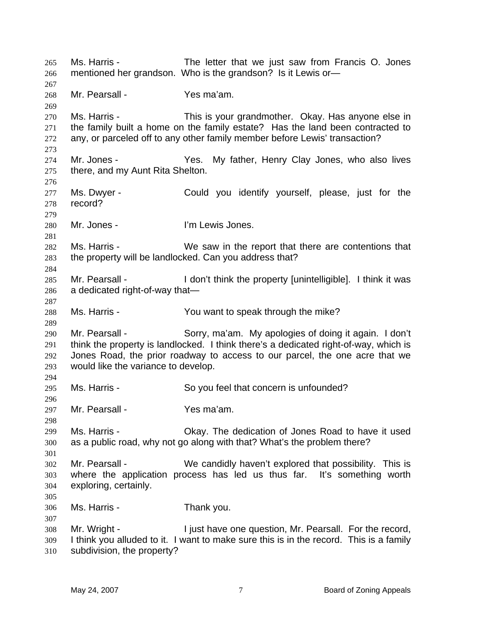Ms. Harris - The letter that we just saw from Francis O. Jones mentioned her grandson. Who is the grandson? Is it Lewis or— 265 266 267 268 269 270 271 272 273 274 275 276 277 278 279 280 281 282 283 284 285 286 287 288 289 290 291 292 293 294 295 296 297 298 299 300 301 302 303 304 305 306 307 308 309 310 Mr. Pearsall - The Yes ma'am. Ms. Harris - This is your grandmother. Okay. Has anyone else in the family built a home on the family estate? Has the land been contracted to any, or parceled off to any other family member before Lewis' transaction? Mr. Jones - The Yes. My father, Henry Clay Jones, who also lives there, and my Aunt Rita Shelton. Ms. Dwyer - Could you identify yourself, please, just for the record? Mr. Jones - The Tewis Jones. Ms. Harris - We saw in the report that there are contentions that the property will be landlocked. Can you address that? Mr. Pearsall - I don't think the property [unintelligible]. I think it was a dedicated right-of-way that— Ms. Harris - You want to speak through the mike? Mr. Pearsall - Sorry, ma'am. My apologies of doing it again. I don't think the property is landlocked. I think there's a dedicated right-of-way, which is Jones Road, the prior roadway to access to our parcel, the one acre that we would like the variance to develop. Ms. Harris - So you feel that concern is unfounded? Mr. Pearsall - Yes ma'am. Ms. Harris - Okay. The dedication of Jones Road to have it used as a public road, why not go along with that? What's the problem there? Mr. Pearsall - We candidly haven't explored that possibility. This is where the application process has led us thus far. It's something worth exploring, certainly. Ms. Harris - Thank you. Mr. Wright - The I just have one question, Mr. Pearsall. For the record, I think you alluded to it. I want to make sure this is in the record. This is a family subdivision, the property?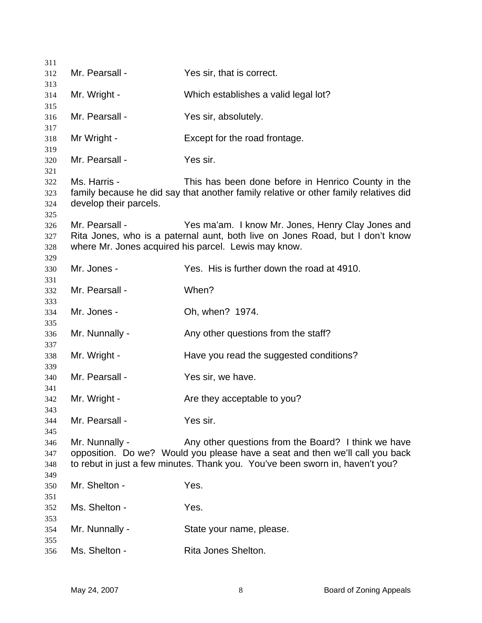| 311        |                        |                                                                                      |
|------------|------------------------|--------------------------------------------------------------------------------------|
| 312        | Mr. Pearsall -         | Yes sir, that is correct.                                                            |
| 313        |                        |                                                                                      |
| 314        | Mr. Wright -           | Which establishes a valid legal lot?                                                 |
| 315        | Mr. Pearsall -         |                                                                                      |
| 316<br>317 |                        | Yes sir, absolutely.                                                                 |
| 318        | Mr Wright -            | Except for the road frontage.                                                        |
| 319        |                        |                                                                                      |
| 320        | Mr. Pearsall -         | Yes sir.                                                                             |
| 321        |                        |                                                                                      |
| 322        | Ms. Harris -           | This has been done before in Henrico County in the                                   |
| 323<br>324 | develop their parcels. | family because he did say that another family relative or other family relatives did |
| 325        |                        |                                                                                      |
| 326        | Mr. Pearsall -         | Yes ma'am. I know Mr. Jones, Henry Clay Jones and                                    |
| 327        |                        | Rita Jones, who is a paternal aunt, both live on Jones Road, but I don't know        |
| 328        |                        | where Mr. Jones acquired his parcel. Lewis may know.                                 |
| 329        |                        |                                                                                      |
| 330        | Mr. Jones -            | Yes. His is further down the road at 4910.                                           |
| 331        |                        |                                                                                      |
| 332        | Mr. Pearsall -         | When?                                                                                |
| 333        |                        |                                                                                      |
| 334        | Mr. Jones -            | Oh, when? 1974.                                                                      |
| 335<br>336 | Mr. Nunnally -         | Any other questions from the staff?                                                  |
| 337        |                        |                                                                                      |
| 338        | Mr. Wright -           | Have you read the suggested conditions?                                              |
| 339        |                        |                                                                                      |
| 340        | Mr. Pearsall -         | Yes sir, we have.                                                                    |
| 341        |                        |                                                                                      |
| 342        | Mr. Wright -           | Are they acceptable to you?                                                          |
| 343        |                        | Yes sir.                                                                             |
| 344<br>345 | Mr. Pearsall -         |                                                                                      |
| 346        | Mr. Nunnally -         | Any other questions from the Board? I think we have                                  |
| 347        |                        | opposition. Do we? Would you please have a seat and then we'll call you back         |
| 348        |                        | to rebut in just a few minutes. Thank you. You've been sworn in, haven't you?        |
| 349        |                        |                                                                                      |
| 350        | Mr. Shelton -          | Yes.                                                                                 |
| 351        |                        |                                                                                      |
| 352        | Ms. Shelton -          | Yes.                                                                                 |
| 353        |                        |                                                                                      |
| 354        | Mr. Nunnally -         | State your name, please.                                                             |
| 355        |                        |                                                                                      |
| 356        | Ms. Shelton -          | Rita Jones Shelton.                                                                  |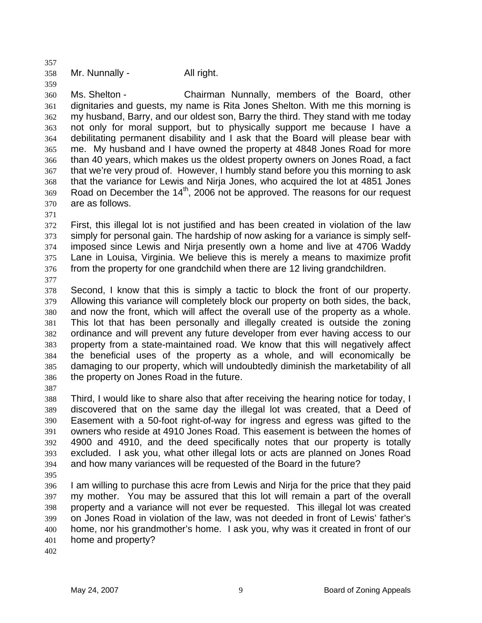358 Mr. Nunnally - All right.

360 361 362 363 364 365 366 367 368 369 370 Ms. Shelton - Chairman Nunnally, members of the Board, other dignitaries and guests, my name is Rita Jones Shelton. With me this morning is my husband, Barry, and our oldest son, Barry the third. They stand with me today not only for moral support, but to physically support me because I have a debilitating permanent disability and I ask that the Board will please bear with me. My husband and I have owned the property at 4848 Jones Road for more than 40 years, which makes us the oldest property owners on Jones Road, a fact that we're very proud of. However, I humbly stand before you this morning to ask that the variance for Lewis and Nirja Jones, who acquired the lot at 4851 Jones Road on December the 14<sup>th</sup>, 2006 not be approved. The reasons for our request are as follows.

371

357

359

372 373 374 375 376 First, this illegal lot is not justified and has been created in violation of the law simply for personal gain. The hardship of now asking for a variance is simply selfimposed since Lewis and Nirja presently own a home and live at 4706 Waddy Lane in Louisa, Virginia. We believe this is merely a means to maximize profit from the property for one grandchild when there are 12 living grandchildren.

377

378 379 380 381 382 383 384 385 386 Second, I know that this is simply a tactic to block the front of our property. Allowing this variance will completely block our property on both sides, the back, and now the front, which will affect the overall use of the property as a whole. This lot that has been personally and illegally created is outside the zoning ordinance and will prevent any future developer from ever having access to our property from a state-maintained road. We know that this will negatively affect the beneficial uses of the property as a whole, and will economically be damaging to our property, which will undoubtedly diminish the marketability of all the property on Jones Road in the future.

387

388 389 390 391 392 393 394 Third, I would like to share also that after receiving the hearing notice for today, I discovered that on the same day the illegal lot was created, that a Deed of Easement with a 50-foot right-of-way for ingress and egress was gifted to the owners who reside at 4910 Jones Road. This easement is between the homes of 4900 and 4910, and the deed specifically notes that our property is totally excluded. I ask you, what other illegal lots or acts are planned on Jones Road and how many variances will be requested of the Board in the future?

395

396 397 398 399 400 401 I am willing to purchase this acre from Lewis and Nirja for the price that they paid my mother. You may be assured that this lot will remain a part of the overall property and a variance will not ever be requested. This illegal lot was created on Jones Road in violation of the law, was not deeded in front of Lewis' father's home, nor his grandmother's home. I ask you, why was it created in front of our home and property?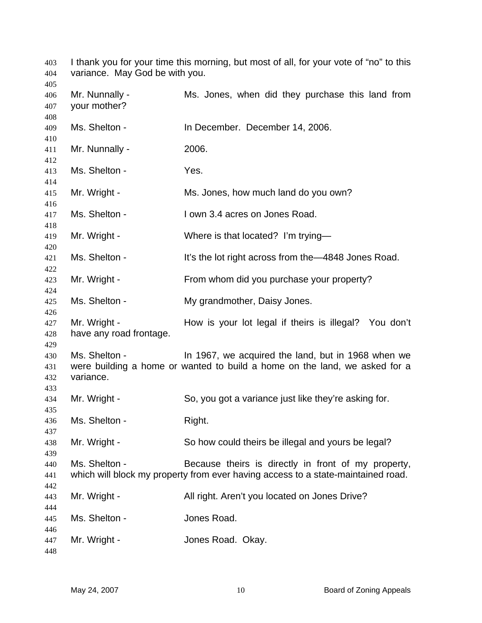I thank you for your time this morning, but most of all, for your vote of "no" to this variance. May God be with you. Mr. Nunnally - Ms. Jones, when did they purchase this land from your mother? Ms. Shelton - In December. December 14, 2006. Mr. Nunnally - 2006. Ms. Shelton - Yes. Mr. Wright - Ms. Jones, how much land do you own? Ms. Shelton - I own 3.4 acres on Jones Road. Mr. Wright - Where is that located? I'm trying— Ms. Shelton - It's the lot right across from the 4848 Jones Road. Mr. Wright - From whom did you purchase your property? Ms. Shelton - My grandmother, Daisy Jones. Mr. Wright - How is your lot legal if theirs is illegal? You don't have any road frontage. Ms. Shelton - In 1967, we acquired the land, but in 1968 when we were building a home or wanted to build a home on the land, we asked for a variance. Mr. Wright - So, you got a variance just like they're asking for. Ms. Shelton - Right. Mr. Wright - So how could theirs be illegal and yours be legal? Ms. Shelton - Because theirs is directly in front of my property, which will block my property from ever having access to a state-maintained road. Mr. Wright - All right. Aren't you located on Jones Drive? Ms. Shelton - **Jones Road.** Mr. Wright - The Mones Road. Okay.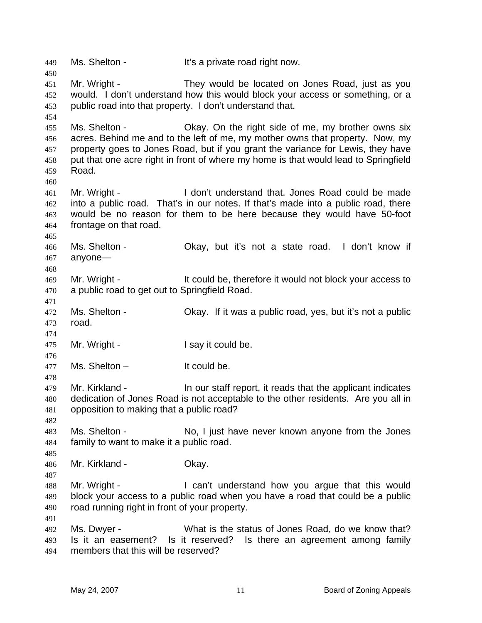449 Ms. Shelton - It's a private road right now. 450 451 452 453 454 455 456 457 458 459 460 461 462 463 464 465 466 467 468 469 470 471 472 473 474 475 476 477 478 479 480 481 482 483 484 485 486 487 488 489 490 491 492 493 494 Mr. Wright - They would be located on Jones Road, just as you would. I don't understand how this would block your access or something, or a public road into that property. I don't understand that. Ms. Shelton - Okay. On the right side of me, my brother owns six acres. Behind me and to the left of me, my mother owns that property. Now, my property goes to Jones Road, but if you grant the variance for Lewis, they have put that one acre right in front of where my home is that would lead to Springfield Road. Mr. Wright - I don't understand that. Jones Road could be made into a public road. That's in our notes. If that's made into a public road, there would be no reason for them to be here because they would have 50-foot frontage on that road. Ms. Shelton - Ckay, but it's not a state road. I don't know if anyone— Mr. Wright - It could be, therefore it would not block your access to a public road to get out to Springfield Road. Ms. Shelton - Okay. If it was a public road, yes, but it's not a public road. Mr. Wright - The Manuson of I say it could be.  $Ms.$  Shelton  $-$  It could be. Mr. Kirkland - In our staff report, it reads that the applicant indicates dedication of Jones Road is not acceptable to the other residents. Are you all in opposition to making that a public road? Ms. Shelton - No, I just have never known anyone from the Jones family to want to make it a public road. Mr. Kirkland - **Okay.** Mr. Wright - The Can't understand how you argue that this would block your access to a public road when you have a road that could be a public road running right in front of your property. Ms. Dwyer - What is the status of Jones Road, do we know that? Is it an easement? Is it reserved? Is there an agreement among family members that this will be reserved?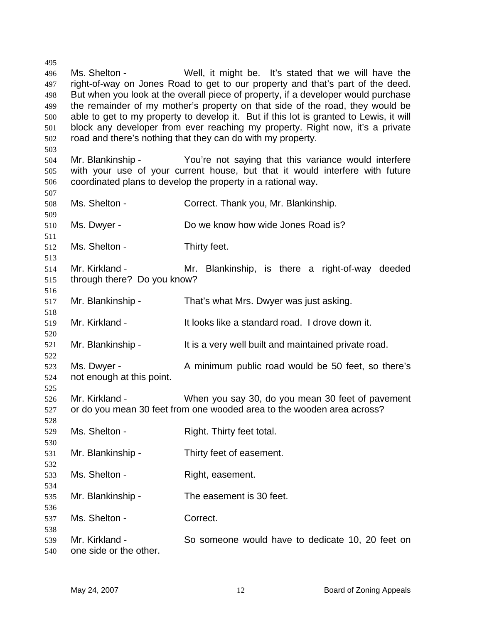Ms. Shelton - Well, it might be. It's stated that we will have the right-of-way on Jones Road to get to our property and that's part of the deed. But when you look at the overall piece of property, if a developer would purchase the remainder of my mother's property on that side of the road, they would be able to get to my property to develop it. But if this lot is granted to Lewis, it will block any developer from ever reaching my property. Right now, it's a private road and there's nothing that they can do with my property. Mr. Blankinship - The You're not saying that this variance would interfere with your use of your current house, but that it would interfere with future coordinated plans to develop the property in a rational way. Ms. Shelton - Correct. Thank you, Mr. Blankinship. Ms. Dwyer - Do we know how wide Jones Road is? Ms. Shelton - Thirty feet. Mr. Kirkland - Mr. Blankinship, is there a right-of-way deeded through there? Do you know? Mr. Blankinship - That's what Mrs. Dwyer was just asking. Mr. Kirkland - It looks like a standard road. I drove down it. Mr. Blankinship - The It is a very well built and maintained private road. Ms. Dwyer - A minimum public road would be 50 feet, so there's not enough at this point. Mr. Kirkland - When you say 30, do you mean 30 feet of pavement or do you mean 30 feet from one wooded area to the wooden area across? Ms. Shelton - Right. Thirty feet total. Mr. Blankinship - Thirty feet of easement. Ms. Shelton - Right, easement. Mr. Blankinship - The easement is 30 feet. Ms. Shelton - Correct. Mr. Kirkland - So someone would have to dedicate 10, 20 feet on one side or the other.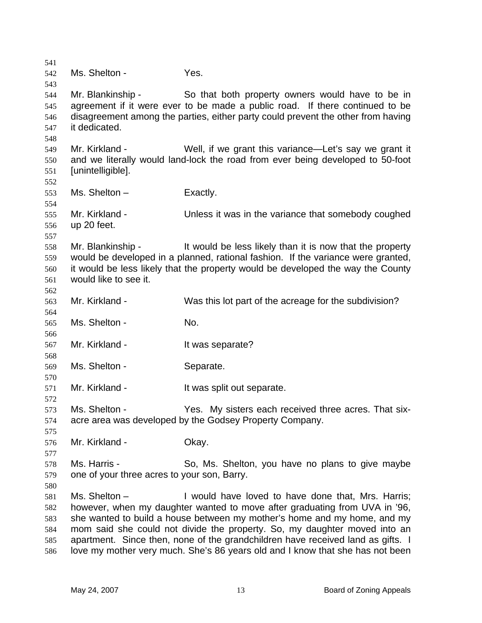541 542 543 544 545 546 547 548 549 550 551 552 553 554 555 556 557 558 559 560 561 562 563 564 565 566 567 568 569 570 571 572 573 574 575 576 577 578 579 580 581 582 583 584 585 586 Ms. Shelton - Yes. Mr. Blankinship - So that both property owners would have to be in agreement if it were ever to be made a public road. If there continued to be disagreement among the parties, either party could prevent the other from having it dedicated. Mr. Kirkland - Well, if we grant this variance—Let's say we grant it and we literally would land-lock the road from ever being developed to 50-foot [unintelligible].  $Ms.$  Shelton – Exactly. Mr. Kirkland - Unless it was in the variance that somebody coughed up 20 feet. Mr. Blankinship - It would be less likely than it is now that the property would be developed in a planned, rational fashion. If the variance were granted, it would be less likely that the property would be developed the way the County would like to see it. Mr. Kirkland - Was this lot part of the acreage for the subdivision? Ms. Shelton - No. Mr. Kirkland - The Music Separate? Ms. Shelton - Separate. Mr. Kirkland - It was split out separate. Ms. Shelton - Yes. My sisters each received three acres. That sixacre area was developed by the Godsey Property Company. Mr. Kirkland - **Okay.** Ms. Harris - So, Ms. Shelton, you have no plans to give maybe one of your three acres to your son, Barry. Ms. Shelton – **I** would have loved to have done that, Mrs. Harris; however, when my daughter wanted to move after graduating from UVA in '96, she wanted to build a house between my mother's home and my home, and my mom said she could not divide the property. So, my daughter moved into an apartment. Since then, none of the grandchildren have received land as gifts. I love my mother very much. She's 86 years old and I know that she has not been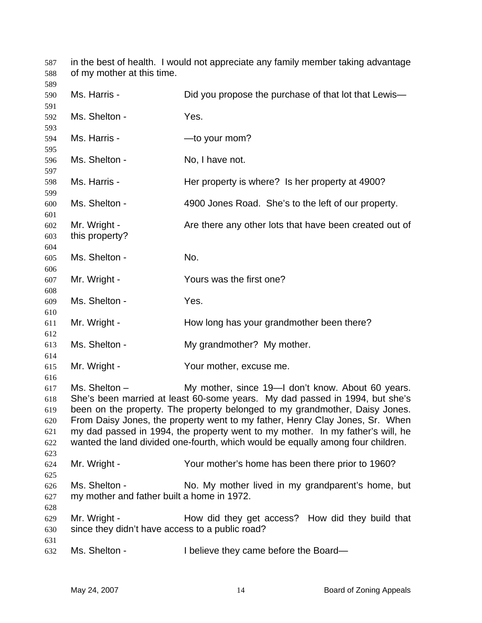in the best of health. I would not appreciate any family member taking advantage of my mother at this time. Ms. Harris - Did you propose the purchase of that lot that Lewis-Ms. Shelton - Yes. Ms. Harris - The Music Harris - The Music Hours - The Music Hours - The Music Hours - The Music Hours - The Music Hours - The Music Hours - The Music Hours - The Music Hours - The Music Hours - The Music Hours - The Music Ms. Shelton - No, I have not. Ms. Harris - Her property is where? Is her property at 4900? Ms. Shelton - 4900 Jones Road. She's to the left of our property. Mr. Wright - Are there any other lots that have been created out of this property? Ms. Shelton - No. Mr. Wright - The Yours was the first one? Ms. Shelton - Yes. Mr. Wright - The How long has your grandmother been there? Ms. Shelton - My grandmother? My mother. Mr. Wright - The Your mother, excuse me. Ms. Shelton – My mother, since 19—I don't know. About 60 years. She's been married at least 60-some years. My dad passed in 1994, but she's been on the property. The property belonged to my grandmother, Daisy Jones. From Daisy Jones, the property went to my father, Henry Clay Jones, Sr. When my dad passed in 1994, the property went to my mother. In my father's will, he wanted the land divided one-fourth, which would be equally among four children. Mr. Wright - Your mother's home has been there prior to 1960? Ms. Shelton - No. My mother lived in my grandparent's home, but my mother and father built a home in 1972. Mr. Wright - The How did they get access? How did they build that since they didn't have access to a public road? Ms. Shelton - I believe they came before the Board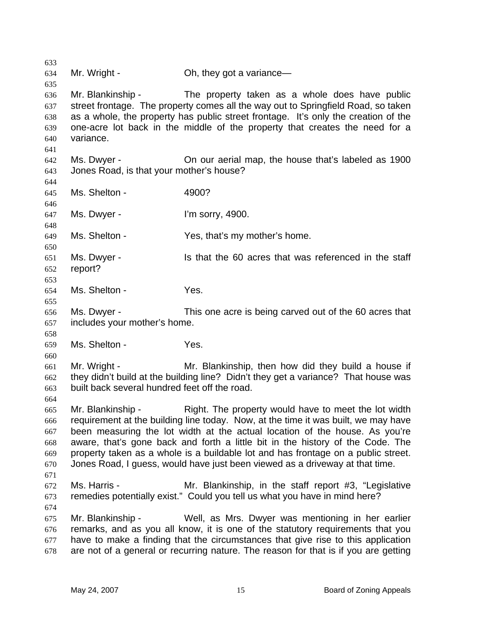633 634 635 636 637 638 639 640 641 642 643 644 645 646 647 648 649 650 651 652 653 654 655 656 657 658 659 660 661 662 663 664 665 666 667 668 669 670 671 672 673 674 675 676 677 678 Mr. Wright - Ch, they got a variance— Mr. Blankinship - The property taken as a whole does have public street frontage. The property comes all the way out to Springfield Road, so taken as a whole, the property has public street frontage. It's only the creation of the one-acre lot back in the middle of the property that creates the need for a variance. Ms. Dwyer - Chrown aerial map, the house that's labeled as 1900 Jones Road, is that your mother's house? Ms. Shelton - 4900? Ms. Dwyer - I'm sorry, 4900. Ms. Shelton - Yes, that's my mother's home. Ms. Dwyer - Is that the 60 acres that was referenced in the staff report? Ms. Shelton - Yes. Ms. Dwyer - This one acre is being carved out of the 60 acres that includes your mother's home. Ms. Shelton - Yes. Mr. Wright - Mr. Blankinship, then how did they build a house if they didn't build at the building line? Didn't they get a variance? That house was built back several hundred feet off the road. Mr. Blankinship - Right. The property would have to meet the lot width requirement at the building line today. Now, at the time it was built, we may have been measuring the lot width at the actual location of the house. As you're aware, that's gone back and forth a little bit in the history of the Code. The property taken as a whole is a buildable lot and has frontage on a public street. Jones Road, I guess, would have just been viewed as a driveway at that time. Ms. Harris - Mr. Blankinship, in the staff report #3, "Legislative remedies potentially exist." Could you tell us what you have in mind here? Mr. Blankinship - Well, as Mrs. Dwyer was mentioning in her earlier remarks, and as you all know, it is one of the statutory requirements that you have to make a finding that the circumstances that give rise to this application are not of a general or recurring nature. The reason for that is if you are getting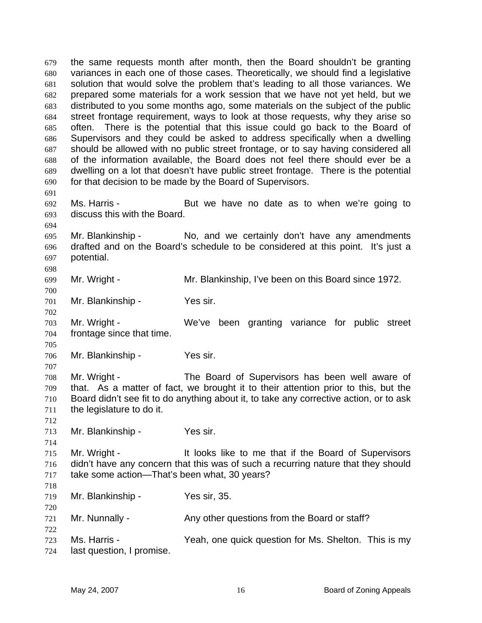the same requests month after month, then the Board shouldn't be granting variances in each one of those cases. Theoretically, we should find a legislative solution that would solve the problem that's leading to all those variances. We prepared some materials for a work session that we have not yet held, but we distributed to you some months ago, some materials on the subject of the public street frontage requirement, ways to look at those requests, why they arise so often. There is the potential that this issue could go back to the Board of Supervisors and they could be asked to address specifically when a dwelling should be allowed with no public street frontage, or to say having considered all of the information available, the Board does not feel there should ever be a dwelling on a lot that doesn't have public street frontage. There is the potential for that decision to be made by the Board of Supervisors. 679 680 681 682 683 684 685 686 687 688 689 690 691 692 693 694 695 696 697 698 699 700 701 702 703 704 705 706 707 708 709 710 711 712 713 714 715 716 717 718 719 720 721 722 723 724 Ms. Harris - But we have no date as to when we're going to discuss this with the Board. Mr. Blankinship - No, and we certainly don't have any amendments drafted and on the Board's schedule to be considered at this point. It's just a potential. Mr. Wright - Mr. Blankinship, I've been on this Board since 1972. Mr. Blankinship - Yes sir. Mr. Wright - We've been granting variance for public street frontage since that time. Mr. Blankinship - Yes sir. Mr. Wright - The Board of Supervisors has been well aware of that. As a matter of fact, we brought it to their attention prior to this, but the Board didn't see fit to do anything about it, to take any corrective action, or to ask the legislature to do it. Mr. Blankinship - Yes sir. Mr. Wright - The It looks like to me that if the Board of Supervisors didn't have any concern that this was of such a recurring nature that they should take some action—That's been what, 30 years? Mr. Blankinship - Yes sir, 35. Mr. Nunnally - Any other questions from the Board or staff? Ms. Harris - This is my Yeah, one quick question for Ms. Shelton. This is my last question, I promise.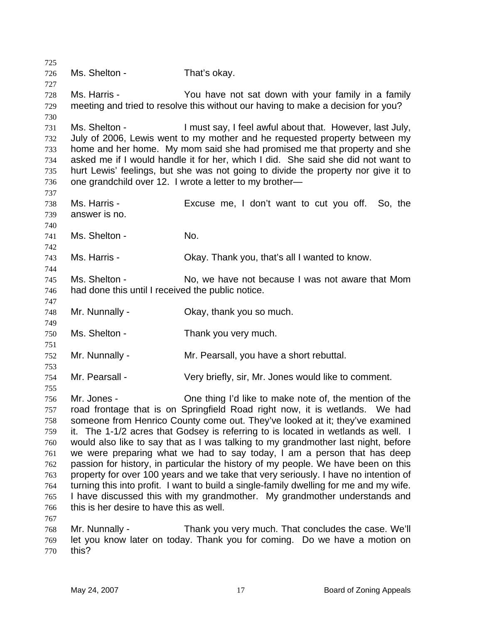725 726 727 728 729 730 731 732 733 734 735 736 737 738 739 740 741 742 743 744 745 746 747 748 749 750 751 752 753 754 755 756 757 758 759 760 761 762 763 764 765 766 767 768 769 770 Ms. Shelton - That's okay. Ms. Harris - You have not sat down with your family in a family meeting and tried to resolve this without our having to make a decision for you? Ms. Shelton - I must say, I feel awful about that. However, last July, July of 2006, Lewis went to my mother and he requested property between my home and her home. My mom said she had promised me that property and she asked me if I would handle it for her, which I did. She said she did not want to hurt Lewis' feelings, but she was not going to divide the property nor give it to one grandchild over 12. I wrote a letter to my brother— Ms. Harris - Excuse me, I don't want to cut you off. So, the answer is no. Ms. Shelton - No. Ms. Harris - Okay. Thank you, that's all I wanted to know. Ms. Shelton - No, we have not because I was not aware that Mom had done this until I received the public notice. Mr. Nunnally - Ckay, thank you so much. Ms. Shelton - Thank you very much. Mr. Nunnally - Mr. Pearsall, you have a short rebuttal. Mr. Pearsall - Very briefly, sir, Mr. Jones would like to comment. Mr. Jones - One thing I'd like to make note of, the mention of the road frontage that is on Springfield Road right now, it is wetlands. We had someone from Henrico County come out. They've looked at it; they've examined it. The 1-1/2 acres that Godsey is referring to is located in wetlands as well. I would also like to say that as I was talking to my grandmother last night, before we were preparing what we had to say today, I am a person that has deep passion for history, in particular the history of my people. We have been on this property for over 100 years and we take that very seriously. I have no intention of turning this into profit. I want to build a single-family dwelling for me and my wife. I have discussed this with my grandmother. My grandmother understands and this is her desire to have this as well. Mr. Nunnally - Thank you very much. That concludes the case. We'll let you know later on today. Thank you for coming. Do we have a motion on this?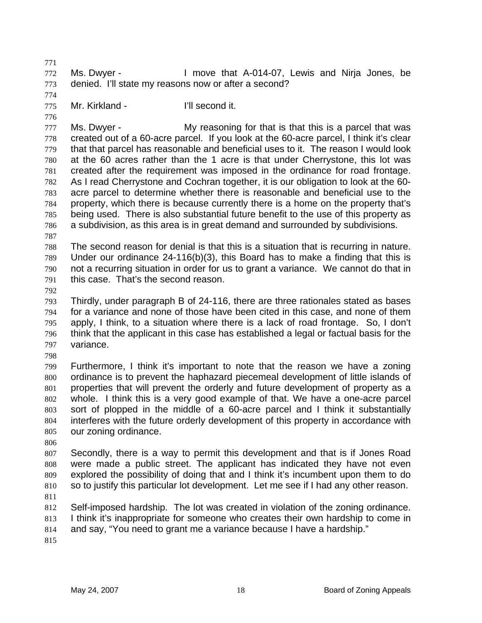771 772 773 Ms. Dwyer - I move that A-014-07, Lewis and Nirja Jones, be denied. I'll state my reasons now or after a second?

775 Mr. Kirkland - I'll second it.

776

774

777 778 779 780 781 782 783 784 785 786 Ms. Dwyer - My reasoning for that is that this is a parcel that was created out of a 60-acre parcel. If you look at the 60-acre parcel, I think it's clear that that parcel has reasonable and beneficial uses to it. The reason I would look at the 60 acres rather than the 1 acre is that under Cherrystone, this lot was created after the requirement was imposed in the ordinance for road frontage. As I read Cherrystone and Cochran together, it is our obligation to look at the 60 acre parcel to determine whether there is reasonable and beneficial use to the property, which there is because currently there is a home on the property that's being used. There is also substantial future benefit to the use of this property as a subdivision, as this area is in great demand and surrounded by subdivisions.

787

788 789 790 791 The second reason for denial is that this is a situation that is recurring in nature. Under our ordinance 24-116(b)(3), this Board has to make a finding that this is not a recurring situation in order for us to grant a variance. We cannot do that in this case. That's the second reason.

792

793 794 795 796 797 Thirdly, under paragraph B of 24-116, there are three rationales stated as bases for a variance and none of those have been cited in this case, and none of them apply, I think, to a situation where there is a lack of road frontage. So, I don't think that the applicant in this case has established a legal or factual basis for the variance.

798

799 800 801 802 803 804 805 Furthermore, I think it's important to note that the reason we have a zoning ordinance is to prevent the haphazard piecemeal development of little islands of properties that will prevent the orderly and future development of property as a whole. I think this is a very good example of that. We have a one-acre parcel sort of plopped in the middle of a 60-acre parcel and I think it substantially interferes with the future orderly development of this property in accordance with our zoning ordinance.

806

807 808 809 810 811 Secondly, there is a way to permit this development and that is if Jones Road were made a public street. The applicant has indicated they have not even explored the possibility of doing that and I think it's incumbent upon them to do so to justify this particular lot development. Let me see if I had any other reason.

812 813 Self-imposed hardship. The lot was created in violation of the zoning ordinance. I think it's inappropriate for someone who creates their own hardship to come in

814 and say, "You need to grant me a variance because I have a hardship."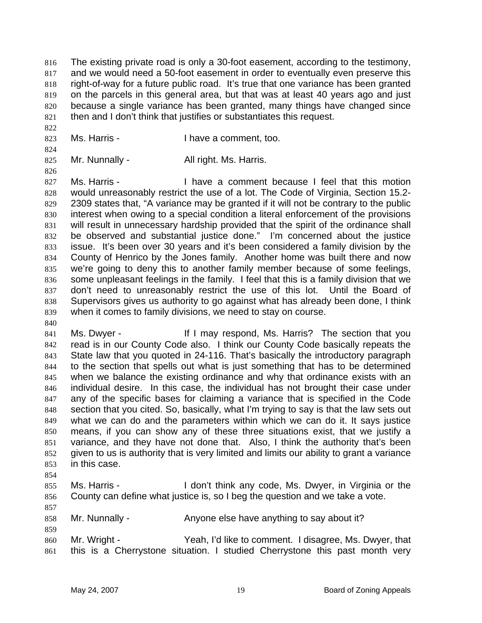The existing private road is only a 30-foot easement, according to the testimony, and we would need a 50-foot easement in order to eventually even preserve this right-of-way for a future public road. It's true that one variance has been granted on the parcels in this general area, but that was at least 40 years ago and just because a single variance has been granted, many things have changed since then and I don't think that justifies or substantiates this request. 816 817 818 819 820 821

- 823 Ms. Harris - Thave a comment, too.
- 825 Mr. Nunnally - All right. Ms. Harris.

826 827 828 829 830 831 832 833 834 835 836 837 838 839 Ms. Harris - Thave a comment because I feel that this motion would unreasonably restrict the use of a lot. The Code of Virginia, Section 15.2- 2309 states that, "A variance may be granted if it will not be contrary to the public interest when owing to a special condition a literal enforcement of the provisions will result in unnecessary hardship provided that the spirit of the ordinance shall be observed and substantial justice done." I'm concerned about the justice issue. It's been over 30 years and it's been considered a family division by the County of Henrico by the Jones family. Another home was built there and now we're going to deny this to another family member because of some feelings, some unpleasant feelings in the family. I feel that this is a family division that we don't need to unreasonably restrict the use of this lot. Until the Board of Supervisors gives us authority to go against what has already been done, I think when it comes to family divisions, we need to stay on course.

- 841 842 843 844 845 846 847 848 849 850 851 852 853 Ms. Dwyer - The Section of If I may respond, Ms. Harris? The section that you read is in our County Code also. I think our County Code basically repeats the State law that you quoted in 24-116. That's basically the introductory paragraph to the section that spells out what is just something that has to be determined when we balance the existing ordinance and why that ordinance exists with an individual desire. In this case, the individual has not brought their case under any of the specific bases for claiming a variance that is specified in the Code section that you cited. So, basically, what I'm trying to say is that the law sets out what we can do and the parameters within which we can do it. It says justice means, if you can show any of these three situations exist, that we justify a variance, and they have not done that. Also, I think the authority that's been given to us is authority that is very limited and limits our ability to grant a variance in this case.
- 854

857

859

840

822

- 855 856 Ms. Harris - The Mon't think any code, Ms. Dwyer, in Virginia or the County can define what justice is, so I beg the question and we take a vote.
- 858 Mr. Nunnally - Anyone else have anything to say about it?
- 860 861 Mr. Wright - Yeah, I'd like to comment. I disagree, Ms. Dwyer, that this is a Cherrystone situation. I studied Cherrystone this past month very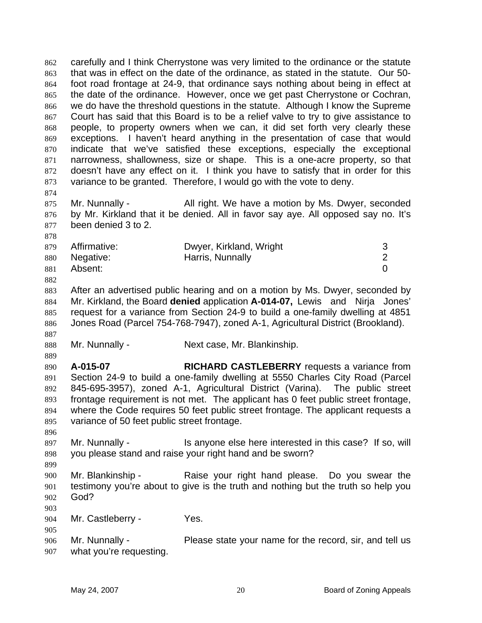carefully and I think Cherrystone was very limited to the ordinance or the statute that was in effect on the date of the ordinance, as stated in the statute. Our 50 foot road frontage at 24-9, that ordinance says nothing about being in effect at the date of the ordinance. However, once we get past Cherrystone or Cochran, we do have the threshold questions in the statute. Although I know the Supreme Court has said that this Board is to be a relief valve to try to give assistance to people, to property owners when we can, it did set forth very clearly these exceptions. I haven't heard anything in the presentation of case that would indicate that we've satisfied these exceptions, especially the exceptional narrowness, shallowness, size or shape. This is a one-acre property, so that doesn't have any effect on it. I think you have to satisfy that in order for this variance to be granted. Therefore, I would go with the vote to deny. 862 863 864 865 866 867 868 869 870 871 872 873 874 875 876 877 878 879 880 881 882 883 884 885 886 887 888 889 890 891 892 893 894 895 896 897 898 899 900 901 902 903 904 905 906 907 Mr. Nunnally - All right. We have a motion by Ms. Dwyer, seconded by Mr. Kirkland that it be denied. All in favor say aye. All opposed say no. It's been denied 3 to 2. Affirmative: Dwyer, Kirkland, Wright 3 Negative: **Harris, Nunnally 2** 2 Absent: 0 After an advertised public hearing and on a motion by Ms. Dwyer, seconded by Mr. Kirkland, the Board **denied** application **A-014-07,** Lewis and Nirja Jones' request for a variance from Section 24-9 to build a one-family dwelling at 4851 Jones Road (Parcel 754-768-7947), zoned A-1, Agricultural District (Brookland). Mr. Nunnally - Next case, Mr. Blankinship. **A-015-07 RICHARD CASTLEBERRY** requests a variance from Section 24-9 to build a one-family dwelling at 5550 Charles City Road (Parcel 845-695-3957), zoned A-1, Agricultural District (Varina). The public street frontage requirement is not met. The applicant has 0 feet public street frontage, where the Code requires 50 feet public street frontage. The applicant requests a variance of 50 feet public street frontage. Mr. Nunnally - This anyone else here interested in this case? If so, will you please stand and raise your right hand and be sworn? Mr. Blankinship - Raise your right hand please. Do you swear the testimony you're about to give is the truth and nothing but the truth so help you God? Mr. Castleberry - Yes. Mr. Nunnally - Please state your name for the record, sir, and tell us what you're requesting.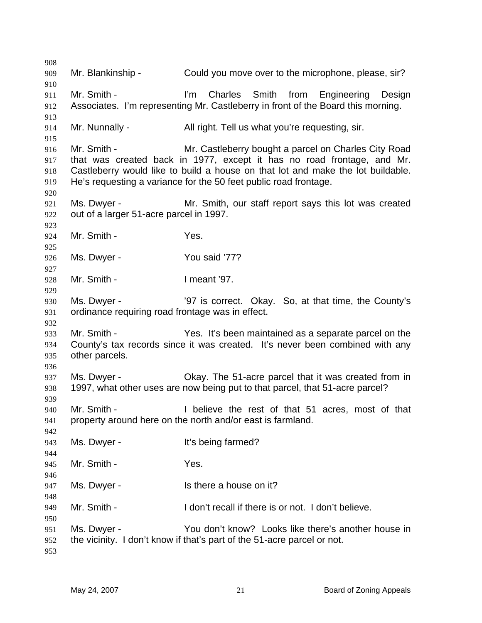Mr. Blankinship - Could you move over to the microphone, please, sir? Mr. Smith - The I'm Charles Smith from Engineering Design Associates. I'm representing Mr. Castleberry in front of the Board this morning. Mr. Nunnally - All right. Tell us what you're requesting, sir. Mr. Smith - Mr. Castleberry bought a parcel on Charles City Road that was created back in 1977, except it has no road frontage, and Mr. Castleberry would like to build a house on that lot and make the lot buildable. He's requesting a variance for the 50 feet public road frontage. Ms. Dwyer - The Mr. Smith, our staff report says this lot was created out of a larger 51-acre parcel in 1997. Mr. Smith - Yes. Ms. Dwyer - You said '77? Mr. Smith - I meant '97. Ms. Dwyer - '97 is correct. Okay. So, at that time, the County's ordinance requiring road frontage was in effect. Mr. Smith - The Yes. It's been maintained as a separate parcel on the County's tax records since it was created. It's never been combined with any other parcels. Ms. Dwyer - Okay. The 51-acre parcel that it was created from in 1997, what other uses are now being put to that parcel, that 51-acre parcel? Mr. Smith - I believe the rest of that 51 acres, most of that property around here on the north and/or east is farmland. Ms. Dwyer - It's being farmed? Mr. Smith - The Yes. Ms. Dwyer - Is there a house on it? Mr. Smith - The I don't recall if there is or not. I don't believe. Ms. Dwyer - You don't know? Looks like there's another house in the vicinity. I don't know if that's part of the 51-acre parcel or not.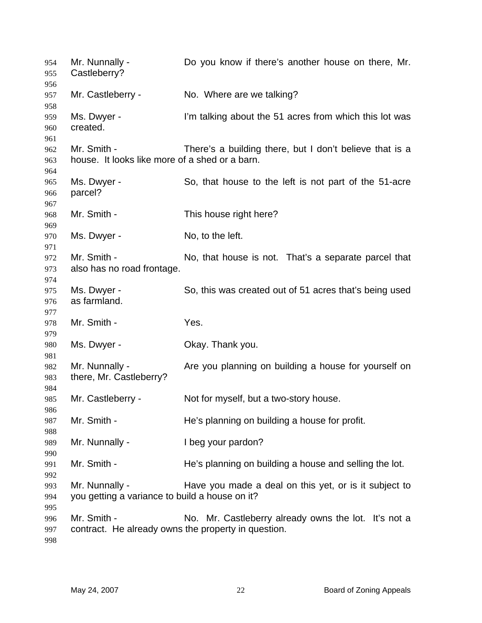Mr. Nunnally - Do you know if there's another house on there, Mr. Castleberry? Mr. Castleberry - No. Where are we talking? Ms. Dwyer - I'm talking about the 51 acres from which this lot was created. Mr. Smith - There's a building there, but I don't believe that is a house. It looks like more of a shed or a barn. Ms. Dwyer - So, that house to the left is not part of the 51-acre parcel? Mr. Smith - This house right here? Ms. Dwyer - No, to the left. Mr. Smith - No, that house is not. That's a separate parcel that also has no road frontage. Ms. Dwyer - So, this was created out of 51 acres that's being used as farmland. Mr. Smith - Yes. Ms. Dwyer - Chay. Thank you. Mr. Nunnally - Are you planning on building a house for yourself on there, Mr. Castleberry? Mr. Castleberry - Not for myself, but a two-story house. Mr. Smith - He's planning on building a house for profit. Mr. Nunnally - I beg your pardon? Mr. Smith - He's planning on building a house and selling the lot. Mr. Nunnally - Have you made a deal on this yet, or is it subject to you getting a variance to build a house on it? Mr. Smith - No. Mr. Castleberry already owns the lot. It's not a contract. He already owns the property in question.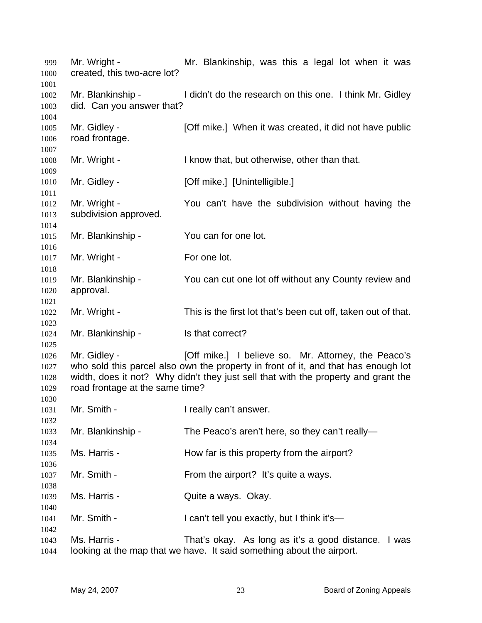Mr. Wright - The Mr. Blankinship, was this a legal lot when it was created, this two-acre lot? Mr. Blankinship - I didn't do the research on this one. I think Mr. Gidley did. Can you answer that? Mr. Gidley - **[Off mike.]** When it was created, it did not have public road frontage. Mr. Wright - I know that, but otherwise, other than that. Mr. Gidley - [Off mike.] [Unintelligible.] Mr. Wright - The You can't have the subdivision without having the subdivision approved. Mr. Blankinship - You can for one lot. Mr. Wright - For one lot. Mr. Blankinship - You can cut one lot off without any County review and approval. Mr. Wright - This is the first lot that's been cut off, taken out of that. Mr. Blankinship - Is that correct? Mr. Gidley - [Off mike.] I believe so. Mr. Attorney, the Peaco's who sold this parcel also own the property in front of it, and that has enough lot width, does it not? Why didn't they just sell that with the property and grant the road frontage at the same time? Mr. Smith - The I really can't answer. Mr. Blankinship - The Peaco's aren't here, so they can't really— Ms. Harris - The How far is this property from the airport? Mr. Smith - From the airport? It's quite a ways. Ms. Harris - **Quite a ways. Okay.** Mr. Smith - I can't tell you exactly, but I think it's— Ms. Harris - That's okay. As long as it's a good distance. I was looking at the map that we have. It said something about the airport.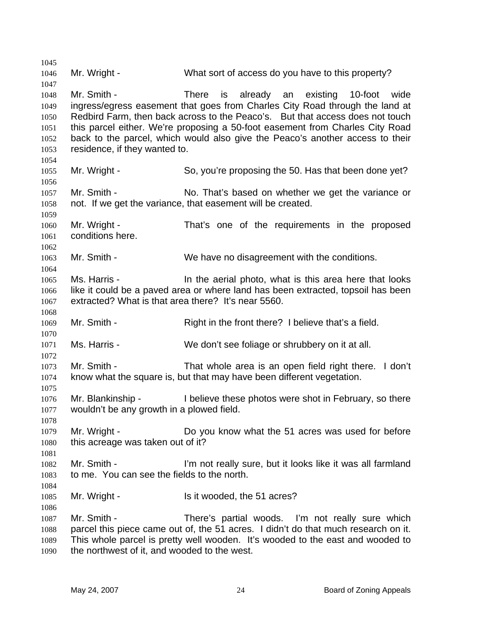1045 1046 1047 1048 1049 1050 1051 1052 1053 1054 1055 1056 1057 1058 1059 1060 1061 1062 1063 1064 1065 1066 1067 1068 1069 1070 1071 1072 1073 1074 1075 1076 1077 1078 1079 1080 1081 1082 1083 1084 1085 1086 1087 1088 1089 1090 Mr. Wright - What sort of access do you have to this property? Mr. Smith - There is already an existing 10-foot wide ingress/egress easement that goes from Charles City Road through the land at Redbird Farm, then back across to the Peaco's. But that access does not touch this parcel either. We're proposing a 50-foot easement from Charles City Road back to the parcel, which would also give the Peaco's another access to their residence, if they wanted to. Mr. Wright - So, you're proposing the 50. Has that been done yet? Mr. Smith - No. That's based on whether we get the variance or not. If we get the variance, that easement will be created. Mr. Wright - That's one of the requirements in the proposed conditions here. Mr. Smith - We have no disagreement with the conditions. Ms. Harris - The In the aerial photo, what is this area here that looks like it could be a paved area or where land has been extracted, topsoil has been extracted? What is that area there? It's near 5560. Mr. Smith - Right in the front there? I believe that's a field. Ms. Harris - We don't see foliage or shrubbery on it at all. Mr. Smith - That whole area is an open field right there. I don't know what the square is, but that may have been different vegetation. Mr. Blankinship - I believe these photos were shot in February, so there wouldn't be any growth in a plowed field. Mr. Wright - Do you know what the 51 acres was used for before this acreage was taken out of it? Mr. Smith - I'm not really sure, but it looks like it was all farmland to me. You can see the fields to the north. Mr. Wright - Is it wooded, the 51 acres? Mr. Smith - There's partial woods. I'm not really sure which parcel this piece came out of, the 51 acres. I didn't do that much research on it. This whole parcel is pretty well wooden. It's wooded to the east and wooded to the northwest of it, and wooded to the west.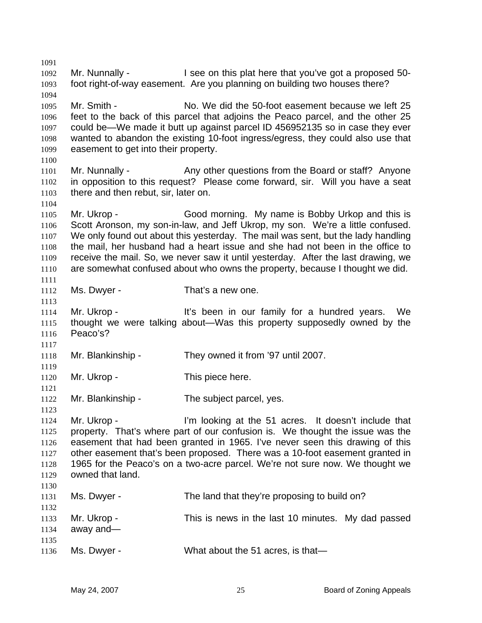1091 1092 1093 1094 1095 1096 1097 1098 1099 1100 1101 1102 1103 1104 1105 1106 1107 1108 1109 1110 1111 1112 1113 1114 1115 1116 1117 1118 1119 1120 1121 1122 1123 1124 1125 1126 1127 1128 1129 1130 1131 1132 1133 1134 1135 1136 Mr. Nunnally - I see on this plat here that you've got a proposed 50foot right-of-way easement. Are you planning on building two houses there? Mr. Smith - No. We did the 50-foot easement because we left 25 feet to the back of this parcel that adjoins the Peaco parcel, and the other 25 could be—We made it butt up against parcel ID 456952135 so in case they ever wanted to abandon the existing 10-foot ingress/egress, they could also use that easement to get into their property. Mr. Nunnally - Any other questions from the Board or staff? Anyone in opposition to this request? Please come forward, sir. Will you have a seat there and then rebut, sir, later on. Mr. Ukrop - Good morning. My name is Bobby Urkop and this is Scott Aronson, my son-in-law, and Jeff Ukrop, my son. We're a little confused. We only found out about this yesterday. The mail was sent, but the lady handling the mail, her husband had a heart issue and she had not been in the office to receive the mail. So, we never saw it until yesterday. After the last drawing, we are somewhat confused about who owns the property, because I thought we did. Ms. Dwyer - That's a new one. Mr. Ukrop - The Muslim of the Seen in our family for a hundred years. We thought we were talking about—Was this property supposedly owned by the Peaco's? Mr. Blankinship - They owned it from '97 until 2007. Mr. Ukrop - This piece here. Mr. Blankinship - The subject parcel, yes. Mr. Ukrop - I'm looking at the 51 acres. It doesn't include that property. That's where part of our confusion is. We thought the issue was the easement that had been granted in 1965. I've never seen this drawing of this other easement that's been proposed. There was a 10-foot easement granted in 1965 for the Peaco's on a two-acre parcel. We're not sure now. We thought we owned that land. Ms. Dwyer - The land that they're proposing to build on? Mr. Ukrop - This is news in the last 10 minutes. My dad passed away and— Ms. Dwyer - What about the 51 acres, is that—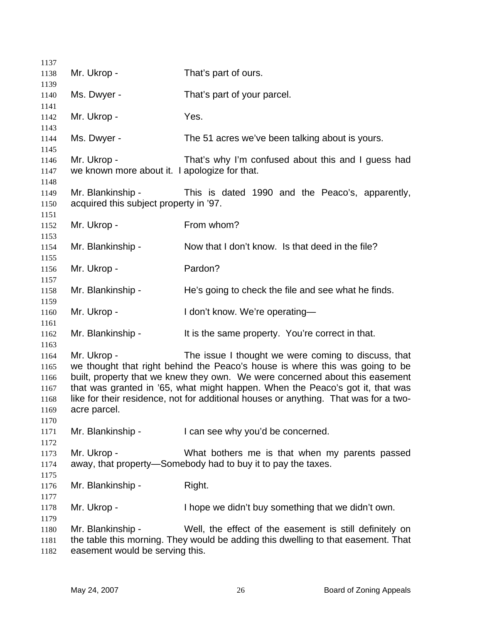| 1137                                                 |                                                              |                                                                                                                                                                                                                                                                                                                                                                                              |
|------------------------------------------------------|--------------------------------------------------------------|----------------------------------------------------------------------------------------------------------------------------------------------------------------------------------------------------------------------------------------------------------------------------------------------------------------------------------------------------------------------------------------------|
| 1138                                                 | Mr. Ukrop -                                                  | That's part of ours.                                                                                                                                                                                                                                                                                                                                                                         |
| 1139                                                 |                                                              |                                                                                                                                                                                                                                                                                                                                                                                              |
| 1140<br>1141                                         | Ms. Dwyer -                                                  | That's part of your parcel.                                                                                                                                                                                                                                                                                                                                                                  |
| 1142<br>1143                                         | Mr. Ukrop -                                                  | Yes.                                                                                                                                                                                                                                                                                                                                                                                         |
| 1144<br>1145                                         | Ms. Dwyer -                                                  | The 51 acres we've been talking about is yours.                                                                                                                                                                                                                                                                                                                                              |
| 1146<br>1147                                         | Mr. Ukrop -<br>we known more about it. I apologize for that. | That's why I'm confused about this and I guess had                                                                                                                                                                                                                                                                                                                                           |
| 1148<br>1149<br>1150                                 | Mr. Blankinship -<br>acquired this subject property in '97.  | This is dated 1990 and the Peaco's, apparently,                                                                                                                                                                                                                                                                                                                                              |
| 1151<br>1152<br>1153                                 | Mr. Ukrop -                                                  | From whom?                                                                                                                                                                                                                                                                                                                                                                                   |
| 1154<br>1155                                         | Mr. Blankinship -                                            | Now that I don't know. Is that deed in the file?                                                                                                                                                                                                                                                                                                                                             |
| 1156<br>1157                                         | Mr. Ukrop -                                                  | Pardon?                                                                                                                                                                                                                                                                                                                                                                                      |
| 1158<br>1159                                         | Mr. Blankinship -                                            | He's going to check the file and see what he finds.                                                                                                                                                                                                                                                                                                                                          |
| 1160<br>1161                                         | Mr. Ukrop -                                                  | I don't know. We're operating-                                                                                                                                                                                                                                                                                                                                                               |
| 1162<br>1163                                         | Mr. Blankinship -                                            | It is the same property. You're correct in that.                                                                                                                                                                                                                                                                                                                                             |
| 1164<br>1165<br>1166<br>1167<br>1168<br>1169<br>1170 | Mr. Ukrop -<br>acre parcel.                                  | The issue I thought we were coming to discuss, that<br>we thought that right behind the Peaco's house is where this was going to be<br>built, property that we knew they own. We were concerned about this easement<br>that was granted in '65, what might happen. When the Peaco's got it, that was<br>like for their residence, not for additional houses or anything. That was for a two- |
| 1171<br>1172                                         | Mr. Blankinship -                                            | I can see why you'd be concerned.                                                                                                                                                                                                                                                                                                                                                            |
| 1173<br>1174<br>1175                                 | Mr. Ukrop -                                                  | What bothers me is that when my parents passed<br>away, that property—Somebody had to buy it to pay the taxes.                                                                                                                                                                                                                                                                               |
| 1176<br>1177                                         | Mr. Blankinship -                                            | Right.                                                                                                                                                                                                                                                                                                                                                                                       |
| 1178<br>1179                                         | Mr. Ukrop -                                                  | I hope we didn't buy something that we didn't own.                                                                                                                                                                                                                                                                                                                                           |
| 1180<br>1181<br>1182                                 | Mr. Blankinship -<br>easement would be serving this.         | Well, the effect of the easement is still definitely on<br>the table this morning. They would be adding this dwelling to that easement. That                                                                                                                                                                                                                                                 |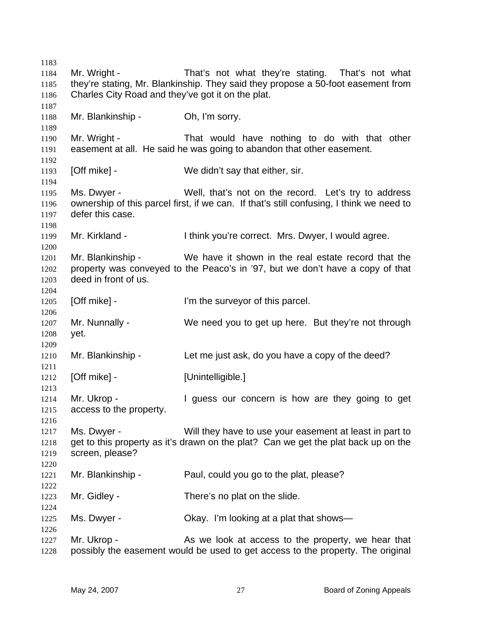Mr. Wright - That's not what they're stating. That's not what they're stating, Mr. Blankinship. They said they propose a 50-foot easement from Charles City Road and they've got it on the plat. Mr. Blankinship - Oh, I'm sorry. Mr. Wright - That would have nothing to do with that other easement at all. He said he was going to abandon that other easement. [Off mike] - We didn't say that either, sir. Ms. Dwyer - Well, that's not on the record. Let's try to address ownership of this parcel first, if we can. If that's still confusing, I think we need to defer this case. Mr. Kirkland - I think you're correct. Mrs. Dwyer, I would agree. Mr. Blankinship - We have it shown in the real estate record that the property was conveyed to the Peaco's in '97, but we don't have a copy of that deed in front of us. [Off mike] - I'm the surveyor of this parcel. Mr. Nunnally - We need you to get up here. But they're not through yet. Mr. Blankinship - Let me just ask, do you have a copy of the deed? [Off mike] - [Unintelligible.] Mr. Ukrop - The University of the University of the Ukrop - The University of the University of the University of the U access to the property. Ms. Dwyer - Will they have to use your easement at least in part to get to this property as it's drawn on the plat? Can we get the plat back up on the screen, please? Mr. Blankinship - Paul, could you go to the plat, please? Mr. Gidley - There's no plat on the slide. Ms. Dwyer - Chay. I'm looking at a plat that shows— Mr. Ukrop - The As we look at access to the property, we hear that possibly the easement would be used to get access to the property. The original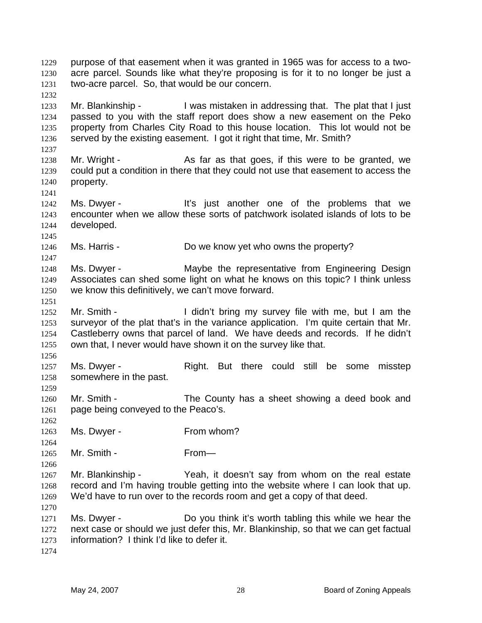purpose of that easement when it was granted in 1965 was for access to a twoacre parcel. Sounds like what they're proposing is for it to no longer be just a two-acre parcel. So, that would be our concern. 1229 1230 1231

1233 1234 1235 1236 Mr. Blankinship - I was mistaken in addressing that. The plat that I just passed to you with the staff report does show a new easement on the Peko property from Charles City Road to this house location. This lot would not be served by the existing easement. I got it right that time, Mr. Smith?

1238 1239 1240 Mr. Wright - As far as that goes, if this were to be granted, we could put a condition in there that they could not use that easement to access the property.

1242 1243 1244 Ms. Dwyer - The Music state of the problems that we encounter when we allow these sorts of patchwork isolated islands of lots to be developed.

1246 Ms. Harris - The More know yet who owns the property?

1248 1249 1250 Ms. Dwyer - **Maybe the representative from Engineering Design** Associates can shed some light on what he knows on this topic? I think unless we know this definitively, we can't move forward.

1252 1253 1254 1255 Mr. Smith - I didn't bring my survey file with me, but I am the surveyor of the plat that's in the variance application. I'm quite certain that Mr. Castleberry owns that parcel of land. We have deeds and records. If he didn't own that, I never would have shown it on the survey like that.

1257 1258 Ms. Dwyer - The Right. But there could still be some misstep somewhere in the past.

1260 1261 1262 Mr. Smith - The County has a sheet showing a deed book and page being conveyed to the Peaco's.

1263 Ms. Dwyer - From whom?

1265 Mr. Smith - From—

1267 1268 1269 Mr. Blankinship - Yeah, it doesn't say from whom on the real estate record and I'm having trouble getting into the website where I can look that up. We'd have to run over to the records room and get a copy of that deed.

1271 1272 1273 Ms. Dwyer - Do you think it's worth tabling this while we hear the next case or should we just defer this, Mr. Blankinship, so that we can get factual information? I think I'd like to defer it.

1274

1232

1237

1241

1245

1247

1251

1256

1259

1264

1266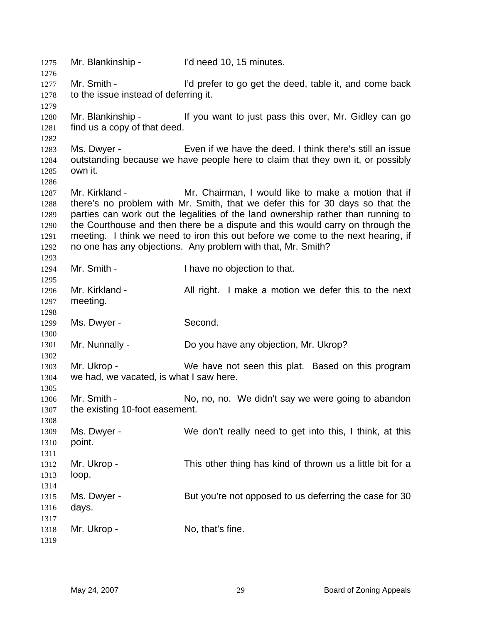1275 Mr. Blankinship - I'd need 10, 15 minutes. 1276 1277 1278 1279 1280 1281 1282 1283 1284 1285 1286 1287 1288 1289 1290 1291 1292 1293 1294 1295 1296 1297 1298 1299 1300 1301 1302 1303 1304 1305 1306 1307 1308 1309 1310 1311 1312 1313 1314 1315 1316 1317 1318 1319 Mr. Smith - I'd prefer to go get the deed, table it, and come back to the issue instead of deferring it. Mr. Blankinship - If you want to just pass this over, Mr. Gidley can go find us a copy of that deed. Ms. Dwyer - Even if we have the deed, I think there's still an issue outstanding because we have people here to claim that they own it, or possibly own it. Mr. Kirkland - Mr. Chairman, I would like to make a motion that if there's no problem with Mr. Smith, that we defer this for 30 days so that the parties can work out the legalities of the land ownership rather than running to the Courthouse and then there be a dispute and this would carry on through the meeting. I think we need to iron this out before we come to the next hearing, if no one has any objections. Any problem with that, Mr. Smith? Mr. Smith - I have no objection to that. Mr. Kirkland - All right. I make a motion we defer this to the next meeting. Ms. Dwyer - Second. Mr. Nunnally - Do you have any objection, Mr. Ukrop? Mr. Ukrop - We have not seen this plat. Based on this program we had, we vacated, is what I saw here. Mr. Smith - No, no, no. We didn't say we were going to abandon the existing 10-foot easement. Ms. Dwyer - We don't really need to get into this, I think, at this point. Mr. Ukrop - This other thing has kind of thrown us a little bit for a loop. Ms. Dwyer - But you're not opposed to us deferring the case for 30 days. Mr. Ukrop - No, that's fine.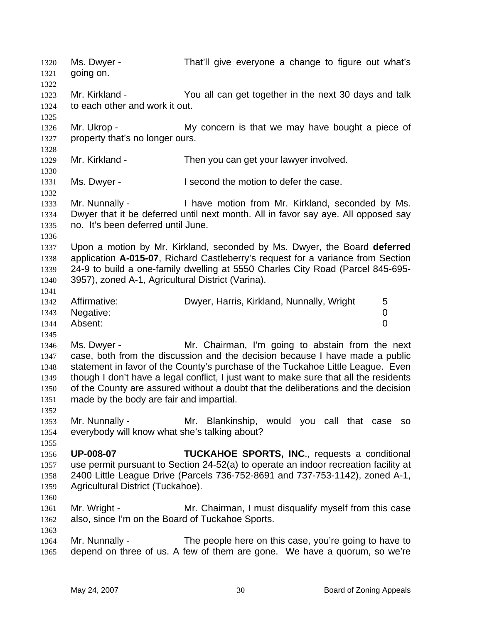Ms. Dwyer - That'll give everyone a change to figure out what's going on. 1320 1321 1322 1323 1324 1325 1326 1327 1328 1329 1330 1331 1332 1333 1334 1335 1336 1337 1338 1339 1340 1341 1342 1343 1344 1345 1346 1347 1348 1349 1350 1351 1352 1353 1354 1355 1356 1357 1358 1359 1360 1361 1362 1363 1364 1365 Mr. Kirkland - You all can get together in the next 30 days and talk to each other and work it out. Mr. Ukrop - My concern is that we may have bought a piece of property that's no longer ours. Mr. Kirkland - Then you can get your lawyer involved. Ms. Dwyer - The second the motion to defer the case. Mr. Nunnally - I have motion from Mr. Kirkland, seconded by Ms. Dwyer that it be deferred until next month. All in favor say aye. All opposed say no. It's been deferred until June. Upon a motion by Mr. Kirkland, seconded by Ms. Dwyer, the Board **deferred** application **A-015-07**, Richard Castleberry's request for a variance from Section 24-9 to build a one-family dwelling at 5550 Charles City Road (Parcel 845-695- 3957), zoned A-1, Agricultural District (Varina). Affirmative: Dwyer, Harris, Kirkland, Nunnally, Wright 5 Negative: 0 Absent: 0 Ms. Dwyer - Mr. Chairman, I'm going to abstain from the next case, both from the discussion and the decision because I have made a public statement in favor of the County's purchase of the Tuckahoe Little League. Even though I don't have a legal conflict, I just want to make sure that all the residents of the County are assured without a doubt that the deliberations and the decision made by the body are fair and impartial. Mr. Nunnally - The Mr. Blankinship, would you call that case so everybody will know what she's talking about? **UP-008-07 TUCKAHOE SPORTS, INC**., requests a conditional use permit pursuant to Section 24-52(a) to operate an indoor recreation facility at 2400 Little League Drive (Parcels 736-752-8691 and 737-753-1142), zoned A-1, Agricultural District (Tuckahoe). Mr. Wright - Mr. Chairman, I must disqualify myself from this case also, since I'm on the Board of Tuckahoe Sports. Mr. Nunnally - The people here on this case, you're going to have to depend on three of us. A few of them are gone. We have a quorum, so we're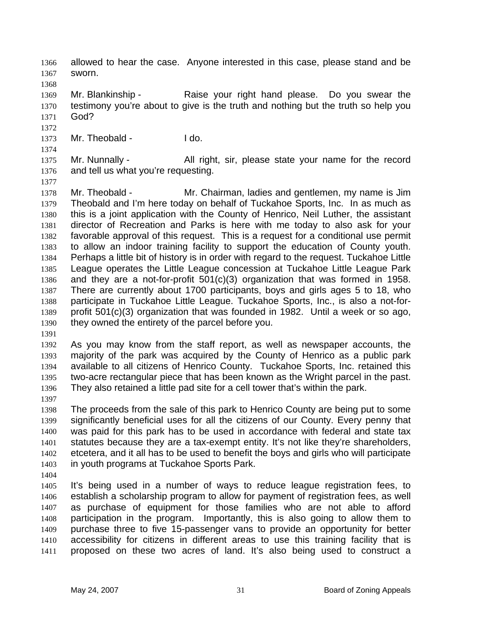- allowed to hear the case. Anyone interested in this case, please stand and be sworn. 1366 1367
- 1369 1370 1371 Mr. Blankinship - Raise your right hand please. Do you swear the testimony you're about to give is the truth and nothing but the truth so help you God?
- 1373 Mr. Theobald - I do.
- 1375 1376 Mr. Nunnally - All right, sir, please state your name for the record and tell us what you're requesting.
- 1377

1368

1372

1374

1378 1379 1380 1381 1382 1383 1384 1385 1386 1387 1388 1389 1390 Mr. Theobald - Mr. Chairman, ladies and gentlemen, my name is Jim Theobald and I'm here today on behalf of Tuckahoe Sports, Inc. In as much as this is a joint application with the County of Henrico, Neil Luther, the assistant director of Recreation and Parks is here with me today to also ask for your favorable approval of this request. This is a request for a conditional use permit to allow an indoor training facility to support the education of County youth. Perhaps a little bit of history is in order with regard to the request. Tuckahoe Little League operates the Little League concession at Tuckahoe Little League Park and they are a not-for-profit 501(c)(3) organization that was formed in 1958. There are currently about 1700 participants, boys and girls ages 5 to 18, who participate in Tuckahoe Little League. Tuckahoe Sports, Inc., is also a not-forprofit 501(c)(3) organization that was founded in 1982. Until a week or so ago, they owned the entirety of the parcel before you.

1391

1392 1393 1394 1395 1396 As you may know from the staff report, as well as newspaper accounts, the majority of the park was acquired by the County of Henrico as a public park available to all citizens of Henrico County. Tuckahoe Sports, Inc. retained this two-acre rectangular piece that has been known as the Wright parcel in the past. They also retained a little pad site for a cell tower that's within the park.

1397

1398 1399 1400 1401 1402 1403 The proceeds from the sale of this park to Henrico County are being put to some significantly beneficial uses for all the citizens of our County. Every penny that was paid for this park has to be used in accordance with federal and state tax statutes because they are a tax-exempt entity. It's not like they're shareholders, etcetera, and it all has to be used to benefit the boys and girls who will participate in youth programs at Tuckahoe Sports Park.

1404

1405 1406 1407 1408 1409 1410 1411 It's being used in a number of ways to reduce league registration fees, to establish a scholarship program to allow for payment of registration fees, as well as purchase of equipment for those families who are not able to afford participation in the program. Importantly, this is also going to allow them to purchase three to five 15-passenger vans to provide an opportunity for better accessibility for citizens in different areas to use this training facility that is proposed on these two acres of land. It's also being used to construct a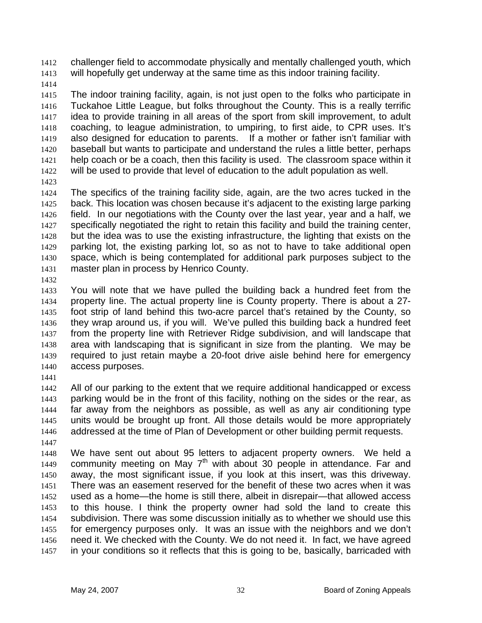challenger field to accommodate physically and mentally challenged youth, which will hopefully get underway at the same time as this indoor training facility. 1412 1413

1414

1415 1416 1417 1418 1419 1420 1421 1422 The indoor training facility, again, is not just open to the folks who participate in Tuckahoe Little League, but folks throughout the County. This is a really terrific idea to provide training in all areas of the sport from skill improvement, to adult coaching, to league administration, to umpiring, to first aide, to CPR uses. It's also designed for education to parents. If a mother or father isn't familiar with baseball but wants to participate and understand the rules a little better, perhaps help coach or be a coach, then this facility is used. The classroom space within it will be used to provide that level of education to the adult population as well.

1423

1424 1425 1426 1427 1428 1429 1430 1431 The specifics of the training facility side, again, are the two acres tucked in the back. This location was chosen because it's adjacent to the existing large parking field. In our negotiations with the County over the last year, year and a half, we specifically negotiated the right to retain this facility and build the training center, but the idea was to use the existing infrastructure, the lighting that exists on the parking lot, the existing parking lot, so as not to have to take additional open space, which is being contemplated for additional park purposes subject to the master plan in process by Henrico County.

1432

1433 1434 1435 1436 1437 1438 1439 1440 You will note that we have pulled the building back a hundred feet from the property line. The actual property line is County property. There is about a 27 foot strip of land behind this two-acre parcel that's retained by the County, so they wrap around us, if you will. We've pulled this building back a hundred feet from the property line with Retriever Ridge subdivision, and will landscape that area with landscaping that is significant in size from the planting. We may be required to just retain maybe a 20-foot drive aisle behind here for emergency access purposes.

1441

1442 1443 1444 1445 1446 1447 All of our parking to the extent that we require additional handicapped or excess parking would be in the front of this facility, nothing on the sides or the rear, as far away from the neighbors as possible, as well as any air conditioning type units would be brought up front. All those details would be more appropriately addressed at the time of Plan of Development or other building permit requests.

1448 1449 1450 1451 1452 1453 1454 1455 1456 1457 We have sent out about 95 letters to adjacent property owners. We held a community meeting on May  $7<sup>th</sup>$  with about 30 people in attendance. Far and away, the most significant issue, if you look at this insert, was this driveway. There was an easement reserved for the benefit of these two acres when it was used as a home—the home is still there, albeit in disrepair—that allowed access to this house. I think the property owner had sold the land to create this subdivision. There was some discussion initially as to whether we should use this for emergency purposes only. It was an issue with the neighbors and we don't need it. We checked with the County. We do not need it. In fact, we have agreed in your conditions so it reflects that this is going to be, basically, barricaded with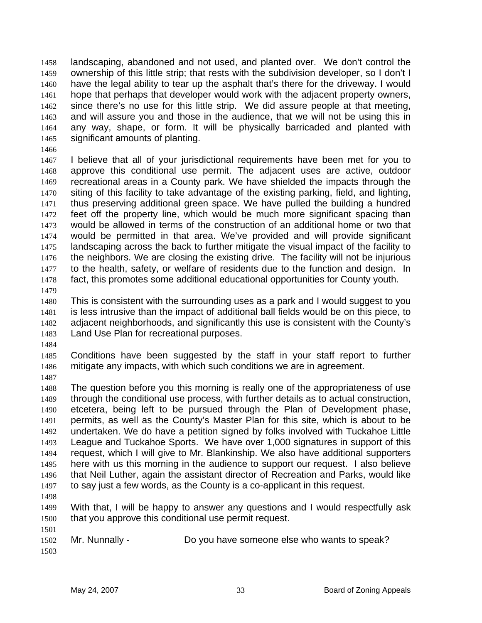landscaping, abandoned and not used, and planted over. We don't control the ownership of this little strip; that rests with the subdivision developer, so I don't I have the legal ability to tear up the asphalt that's there for the driveway. I would hope that perhaps that developer would work with the adjacent property owners, since there's no use for this little strip. We did assure people at that meeting, and will assure you and those in the audience, that we will not be using this in any way, shape, or form. It will be physically barricaded and planted with significant amounts of planting. 1458 1459 1460 1461 1462 1463 1464 1465

1466

1467 1468 1469 1470 1471 1472 1473 1474 1475 1476 1477 1478 I believe that all of your jurisdictional requirements have been met for you to approve this conditional use permit. The adjacent uses are active, outdoor recreational areas in a County park. We have shielded the impacts through the siting of this facility to take advantage of the existing parking, field, and lighting, thus preserving additional green space. We have pulled the building a hundred feet off the property line, which would be much more significant spacing than would be allowed in terms of the construction of an additional home or two that would be permitted in that area. We've provided and will provide significant landscaping across the back to further mitigate the visual impact of the facility to the neighbors. We are closing the existing drive. The facility will not be injurious to the health, safety, or welfare of residents due to the function and design. In fact, this promotes some additional educational opportunities for County youth.

1479

1480 1481 1482 1483 This is consistent with the surrounding uses as a park and I would suggest to you is less intrusive than the impact of additional ball fields would be on this piece, to adjacent neighborhoods, and significantly this use is consistent with the County's Land Use Plan for recreational purposes.

1484

1485 1486 Conditions have been suggested by the staff in your staff report to further mitigate any impacts, with which such conditions we are in agreement.

1487

1488 1489 1490 1491 1492 1493 1494 1495 1496 1497 The question before you this morning is really one of the appropriateness of use through the conditional use process, with further details as to actual construction, etcetera, being left to be pursued through the Plan of Development phase, permits, as well as the County's Master Plan for this site, which is about to be undertaken. We do have a petition signed by folks involved with Tuckahoe Little League and Tuckahoe Sports. We have over 1,000 signatures in support of this request, which I will give to Mr. Blankinship. We also have additional supporters here with us this morning in the audience to support our request. I also believe that Neil Luther, again the assistant director of Recreation and Parks, would like to say just a few words, as the County is a co-applicant in this request.

1498

1501

1499 1500 With that, I will be happy to answer any questions and I would respectfully ask that you approve this conditional use permit request.

1502 1503 Mr. Nunnally - Do you have someone else who wants to speak?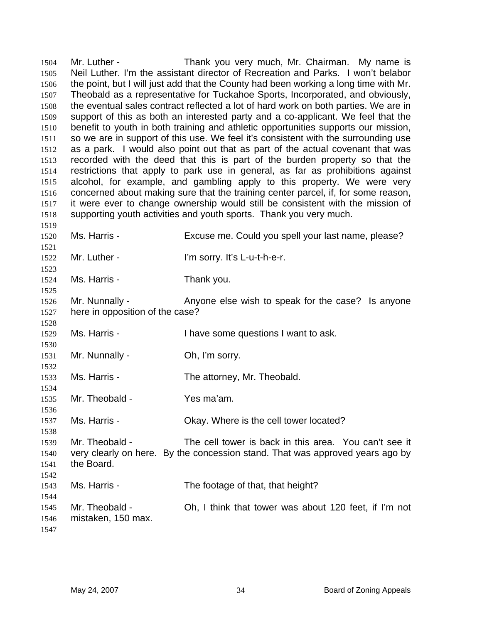Mr. Luther - Thank you very much, Mr. Chairman. My name is Neil Luther. I'm the assistant director of Recreation and Parks. I won't belabor the point, but I will just add that the County had been working a long time with Mr. Theobald as a representative for Tuckahoe Sports, Incorporated, and obviously, the eventual sales contract reflected a lot of hard work on both parties. We are in support of this as both an interested party and a co-applicant. We feel that the benefit to youth in both training and athletic opportunities supports our mission, so we are in support of this use. We feel it's consistent with the surrounding use as a park. I would also point out that as part of the actual covenant that was recorded with the deed that this is part of the burden property so that the restrictions that apply to park use in general, as far as prohibitions against alcohol, for example, and gambling apply to this property. We were very concerned about making sure that the training center parcel, if, for some reason, it were ever to change ownership would still be consistent with the mission of supporting youth activities and youth sports. Thank you very much. 1504 1505 1506 1507 1508 1509 1510 1511 1512 1513 1514 1515 1516 1517 1518 1519 1520 1521 1522 1523 1524 1525 1526 1527 1528 1529 1530 1531 1532 1533 1534 1535 1536 1537 1538 1539 1540 1541 1542 1543 1544 1545 1546 Ms. Harris - Excuse me. Could you spell your last name, please? Mr. Luther - The Sorry. It's L-u-t-h-e-r. Ms. Harris - Thank you. Mr. Nunnally - Anyone else wish to speak for the case? Is anyone here in opposition of the case? Ms. Harris - Thave some questions I want to ask. Mr. Nunnally - Ch, I'm sorry. Ms. Harris - The attorney, Mr. Theobald. Mr. Theobald - Yes ma'am. Ms. Harris - Ckay. Where is the cell tower located? Mr. Theobald - The cell tower is back in this area. You can't see it very clearly on here. By the concession stand. That was approved years ago by the Board. Ms. Harris - The footage of that, that height? Mr. Theobald - Ch, I think that tower was about 120 feet, if I'm not mistaken, 150 max.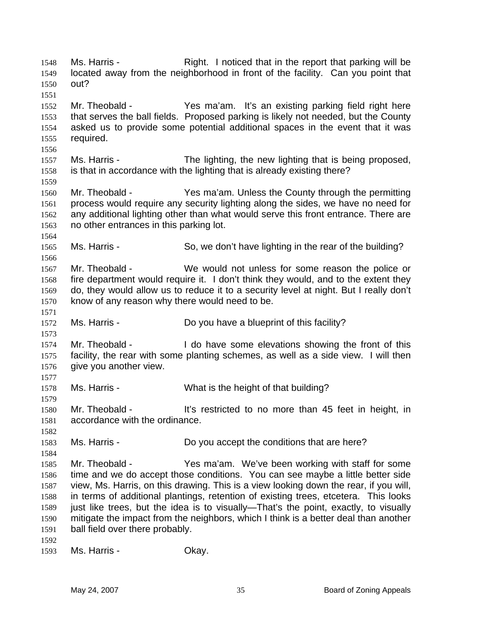Ms. Harris - The Right. I noticed that in the report that parking will be located away from the neighborhood in front of the facility. Can you point that out? 1548 1549 1550 1551 1552 1553 1554 1555 1556 1557 1558 1559 1560 1561 1562 1563 1564 1565 1566 1567 1568 1569 1570 1571 1572 1573 1574 1575 1576 1577 1578 1579 1580 1581 1582 1583 1584 1585 1586 1587 1588 1589 1590 1591 1592 1593 Mr. Theobald - Theobald - Yes ma'am. It's an existing parking field right here that serves the ball fields. Proposed parking is likely not needed, but the County asked us to provide some potential additional spaces in the event that it was required. Ms. Harris - The lighting, the new lighting that is being proposed, is that in accordance with the lighting that is already existing there? Mr. Theobald - Yes ma'am. Unless the County through the permitting process would require any security lighting along the sides, we have no need for any additional lighting other than what would serve this front entrance. There are no other entrances in this parking lot. Ms. Harris - So, we don't have lighting in the rear of the building? Mr. Theobald - We would not unless for some reason the police or fire department would require it. I don't think they would, and to the extent they do, they would allow us to reduce it to a security level at night. But I really don't know of any reason why there would need to be. Ms. Harris - The Motocopy Do you have a blueprint of this facility? Mr. Theobald - Theory is all do have some elevations showing the front of this facility, the rear with some planting schemes, as well as a side view. I will then give you another view. Ms. Harris - What is the height of that building? Mr. Theobald - It's restricted to no more than 45 feet in height, in accordance with the ordinance. Ms. Harris - Do you accept the conditions that are here? Mr. Theobald - Yes ma'am. We've been working with staff for some time and we do accept those conditions. You can see maybe a little better side view, Ms. Harris, on this drawing. This is a view looking down the rear, if you will, in terms of additional plantings, retention of existing trees, etcetera. This looks just like trees, but the idea is to visually—That's the point, exactly, to visually mitigate the impact from the neighbors, which I think is a better deal than another ball field over there probably. Ms. Harris - Chay.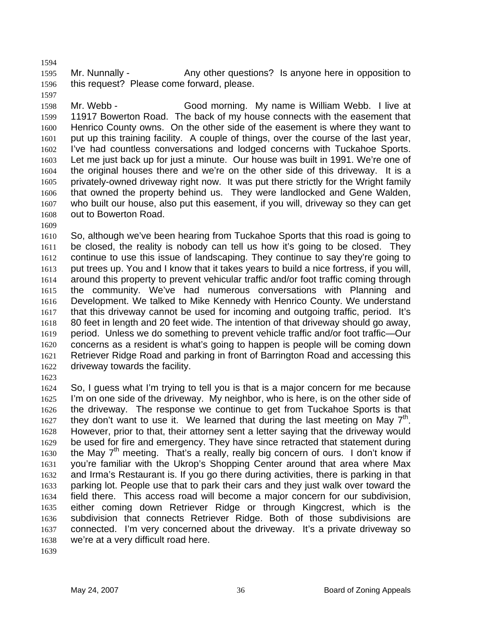1595 1596 1597 Mr. Nunnally - Any other questions? Is anyone here in opposition to this request? Please come forward, please.

1598 1599 1600 1601 1602 1603 1604 1605 1606 1607 1608 Mr. Webb - Good morning. My name is William Webb. I live at 11917 Bowerton Road. The back of my house connects with the easement that Henrico County owns. On the other side of the easement is where they want to put up this training facility. A couple of things, over the course of the last year, I've had countless conversations and lodged concerns with Tuckahoe Sports. Let me just back up for just a minute. Our house was built in 1991. We're one of the original houses there and we're on the other side of this driveway. It is a privately-owned driveway right now. It was put there strictly for the Wright family that owned the property behind us. They were landlocked and Gene Walden, who built our house, also put this easement, if you will, driveway so they can get out to Bowerton Road.

1609

1594

1610 1611 1612 1613 1614 1615 1616 1617 1618 1619 1620 1621 1622 So, although we've been hearing from Tuckahoe Sports that this road is going to be closed, the reality is nobody can tell us how it's going to be closed. They continue to use this issue of landscaping. They continue to say they're going to put trees up. You and I know that it takes years to build a nice fortress, if you will, around this property to prevent vehicular traffic and/or foot traffic coming through the community. We've had numerous conversations with Planning and Development. We talked to Mike Kennedy with Henrico County. We understand that this driveway cannot be used for incoming and outgoing traffic, period. It's 80 feet in length and 20 feet wide. The intention of that driveway should go away, period. Unless we do something to prevent vehicle traffic and/or foot traffic—Our concerns as a resident is what's going to happen is people will be coming down Retriever Ridge Road and parking in front of Barrington Road and accessing this driveway towards the facility.

1623

1624 1625 1626 1627 1628 1629 1630 1631 1632 1633 1634 1635 1636 1637 1638 So, I guess what I'm trying to tell you is that is a major concern for me because I'm on one side of the driveway. My neighbor, who is here, is on the other side of the driveway. The response we continue to get from Tuckahoe Sports is that they don't want to use it. We learned that during the last meeting on May  $7<sup>th</sup>$ . However, prior to that, their attorney sent a letter saying that the driveway would be used for fire and emergency. They have since retracted that statement during the May  $7<sup>th</sup>$  meeting. That's a really, really big concern of ours. I don't know if you're familiar with the Ukrop's Shopping Center around that area where Max and Irma's Restaurant is. If you go there during activities, there is parking in that parking lot. People use that to park their cars and they just walk over toward the field there. This access road will become a major concern for our subdivision, either coming down Retriever Ridge or through Kingcrest, which is the subdivision that connects Retriever Ridge. Both of those subdivisions are connected. I'm very concerned about the driveway. It's a private driveway so we're at a very difficult road here.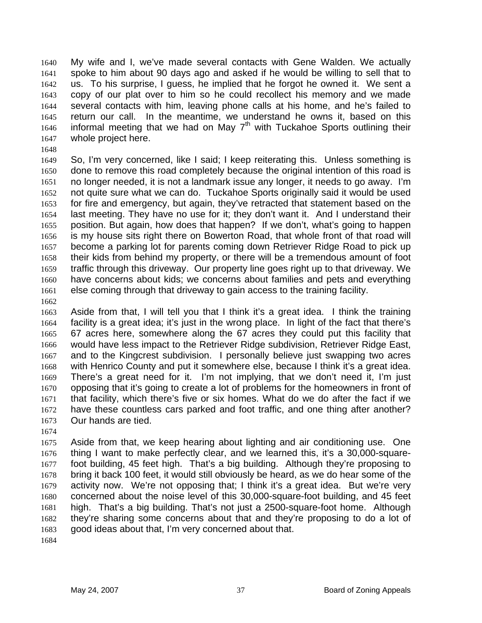My wife and I, we've made several contacts with Gene Walden. We actually spoke to him about 90 days ago and asked if he would be willing to sell that to us. To his surprise, I guess, he implied that he forgot he owned it. We sent a copy of our plat over to him so he could recollect his memory and we made several contacts with him, leaving phone calls at his home, and he's failed to return our call. In the meantime, we understand he owns it, based on this informal meeting that we had on May  $7<sup>th</sup>$  with Tuckahoe Sports outlining their 1640 1641 1642 1643 1644 1645 1646 1647 whole project here.

1648

1649 1650 1651 1652 1653 1654 1655 1656 1657 1658 1659 1660 1661 So, I'm very concerned, like I said; I keep reiterating this. Unless something is done to remove this road completely because the original intention of this road is no longer needed, it is not a landmark issue any longer, it needs to go away. I'm not quite sure what we can do. Tuckahoe Sports originally said it would be used for fire and emergency, but again, they've retracted that statement based on the last meeting. They have no use for it; they don't want it. And I understand their position. But again, how does that happen? If we don't, what's going to happen is my house sits right there on Bowerton Road, that whole front of that road will become a parking lot for parents coming down Retriever Ridge Road to pick up their kids from behind my property, or there will be a tremendous amount of foot traffic through this driveway. Our property line goes right up to that driveway. We have concerns about kids; we concerns about families and pets and everything else coming through that driveway to gain access to the training facility.

1662

1663 1664 1665 1666 1667 1668 1669 1670 1671 1672 1673 Aside from that, I will tell you that I think it's a great idea. I think the training facility is a great idea; it's just in the wrong place. In light of the fact that there's 67 acres here, somewhere along the 67 acres they could put this facility that would have less impact to the Retriever Ridge subdivision, Retriever Ridge East, and to the Kingcrest subdivision. I personally believe just swapping two acres with Henrico County and put it somewhere else, because I think it's a great idea. There's a great need for it. I'm not implying, that we don't need it, I'm just opposing that it's going to create a lot of problems for the homeowners in front of that facility, which there's five or six homes. What do we do after the fact if we have these countless cars parked and foot traffic, and one thing after another? Our hands are tied.

1674

1675 1676 1677 1678 1679 1680 1681 1682 1683 Aside from that, we keep hearing about lighting and air conditioning use. One thing I want to make perfectly clear, and we learned this, it's a 30,000-squarefoot building, 45 feet high. That's a big building. Although they're proposing to bring it back 100 feet, it would still obviously be heard, as we do hear some of the activity now. We're not opposing that; I think it's a great idea. But we're very concerned about the noise level of this 30,000-square-foot building, and 45 feet high. That's a big building. That's not just a 2500-square-foot home. Although they're sharing some concerns about that and they're proposing to do a lot of good ideas about that, I'm very concerned about that.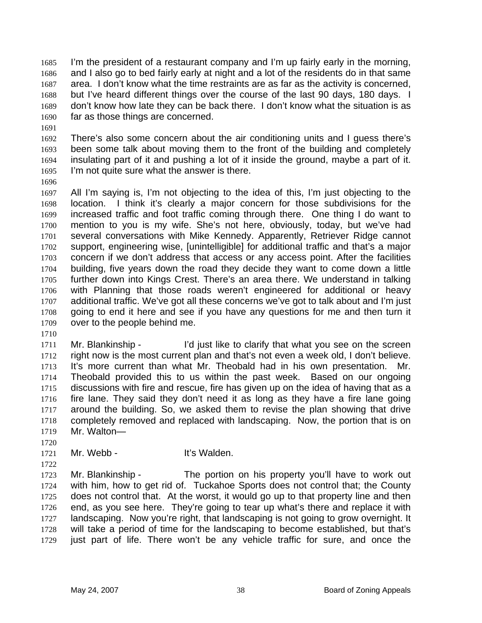I'm the president of a restaurant company and I'm up fairly early in the morning, and I also go to bed fairly early at night and a lot of the residents do in that same area. I don't know what the time restraints are as far as the activity is concerned, but I've heard different things over the course of the last 90 days, 180 days. I don't know how late they can be back there. I don't know what the situation is as far as those things are concerned. 1685 1686 1687 1688 1689 1690

- 1692 1693 1694 1695 There's also some concern about the air conditioning units and I guess there's been some talk about moving them to the front of the building and completely insulating part of it and pushing a lot of it inside the ground, maybe a part of it. I'm not quite sure what the answer is there.
- 1696

1691

1697 1698 1699 1700 1701 1702 1703 1704 1705 1706 1707 1708 1709 All I'm saying is, I'm not objecting to the idea of this, I'm just objecting to the location. I think it's clearly a major concern for those subdivisions for the increased traffic and foot traffic coming through there. One thing I do want to mention to you is my wife. She's not here, obviously, today, but we've had several conversations with Mike Kennedy. Apparently, Retriever Ridge cannot support, engineering wise, [unintelligible] for additional traffic and that's a major concern if we don't address that access or any access point. After the facilities building, five years down the road they decide they want to come down a little further down into Kings Crest. There's an area there. We understand in talking with Planning that those roads weren't engineered for additional or heavy additional traffic. We've got all these concerns we've got to talk about and I'm just going to end it here and see if you have any questions for me and then turn it over to the people behind me.

1710

1711 1712 1713 1714 1715 1716 1717 1718 1719 Mr. Blankinship - I'd just like to clarify that what you see on the screen right now is the most current plan and that's not even a week old, I don't believe. It's more current than what Mr. Theobald had in his own presentation. Mr. Theobald provided this to us within the past week. Based on our ongoing discussions with fire and rescue, fire has given up on the idea of having that as a fire lane. They said they don't need it as long as they have a fire lane going around the building. So, we asked them to revise the plan showing that drive completely removed and replaced with landscaping. Now, the portion that is on Mr. Walton—

- 1721 Mr. Webb - **It's Walden**.
- 1722

1720

1723 1724 1725 1726 1727 1728 1729 Mr. Blankinship - The portion on his property you'll have to work out with him, how to get rid of. Tuckahoe Sports does not control that; the County does not control that. At the worst, it would go up to that property line and then end, as you see here. They're going to tear up what's there and replace it with landscaping. Now you're right, that landscaping is not going to grow overnight. It will take a period of time for the landscaping to become established, but that's just part of life. There won't be any vehicle traffic for sure, and once the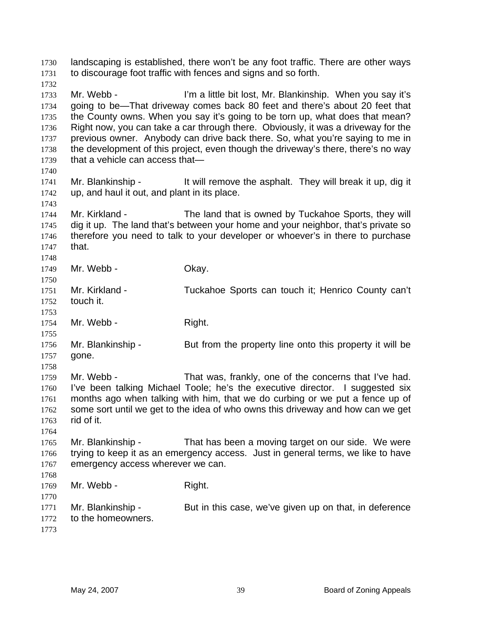landscaping is established, there won't be any foot traffic. There are other ways to discourage foot traffic with fences and signs and so forth. 1730 1731 1732 1733 1734 1735 1736 1737 1738 1739 1740 1741 1742 1743 1744 1745 1746 1747 1748 1749 1750 1751 1752 1753 1754 1755 1756 1757 1758 1759 1760 1761 1762 1763 1764 1765 1766 1767 1768 1769 1770 1771 1772 1773 Mr. Webb - I'm a little bit lost, Mr. Blankinship. When you say it's going to be—That driveway comes back 80 feet and there's about 20 feet that the County owns. When you say it's going to be torn up, what does that mean? Right now, you can take a car through there. Obviously, it was a driveway for the previous owner. Anybody can drive back there. So, what you're saying to me in the development of this project, even though the driveway's there, there's no way that a vehicle can access that— Mr. Blankinship - It will remove the asphalt. They will break it up, dig it up, and haul it out, and plant in its place. Mr. Kirkland - The land that is owned by Tuckahoe Sports, they will dig it up. The land that's between your home and your neighbor, that's private so therefore you need to talk to your developer or whoever's in there to purchase that. Mr. Webb - Ckay. Mr. Kirkland - Tuckahoe Sports can touch it; Henrico County can't touch it. Mr. Webb - Right. Mr. Blankinship - But from the property line onto this property it will be gone. Mr. Webb - That was, frankly, one of the concerns that I've had. I've been talking Michael Toole; he's the executive director. I suggested six months ago when talking with him, that we do curbing or we put a fence up of some sort until we get to the idea of who owns this driveway and how can we get rid of it. Mr. Blankinship - That has been a moving target on our side. We were trying to keep it as an emergency access. Just in general terms, we like to have emergency access wherever we can. Mr. Webb - Right. Mr. Blankinship - But in this case, we've given up on that, in deference to the homeowners.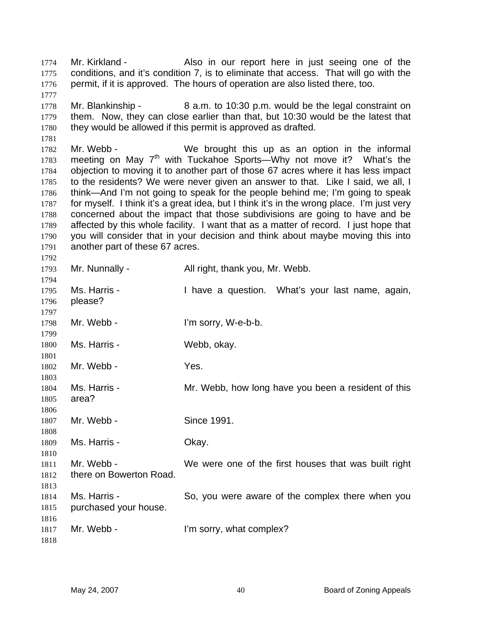Mr. Kirkland - Also in our report here in just seeing one of the conditions, and it's condition 7, is to eliminate that access. That will go with the permit, if it is approved. The hours of operation are also listed there, too. 1774 1775 1776

1778 1779 1780 Mr. Blankinship - 8 a.m. to 10:30 p.m. would be the legal constraint on them. Now, they can close earlier than that, but 10:30 would be the latest that they would be allowed if this permit is approved as drafted.

1782 1783 1784 1785 1786 1787 1788 1789 1790 1791 Mr. Webb - We brought this up as an option in the informal meeting on May  $7<sup>th</sup>$  with Tuckahoe Sports—Why not move it? What's the objection to moving it to another part of those 67 acres where it has less impact to the residents? We were never given an answer to that. Like I said, we all, I think—And I'm not going to speak for the people behind me; I'm going to speak for myself. I think it's a great idea, but I think it's in the wrong place. I'm just very concerned about the impact that those subdivisions are going to have and be affected by this whole facility. I want that as a matter of record. I just hope that you will consider that in your decision and think about maybe moving this into another part of these 67 acres.

1793 1794 1795 1796 1797 1798 1799 1800 1801 1802 1803 1804 1805 1806 1807 1808 1809 1810 1811 1812 1813 1814 1815 1816 1817 1818 Mr. Nunnally - All right, thank you, Mr. Webb. Ms. Harris - Thave a question. What's your last name, again, please? Mr. Webb - I'm sorry, W-e-b-b. Ms. Harris - Webb, okay. Mr. Webb - Yes. Ms. Harris - Mr. Webb, how long have you been a resident of this area? Mr. Webb - Since 1991. Ms. Harris - Chay. Mr. Webb - We were one of the first houses that was built right there on Bowerton Road. Ms. Harris - So, you were aware of the complex there when you purchased your house. Mr. Webb - I'm sorry, what complex?

1777

1781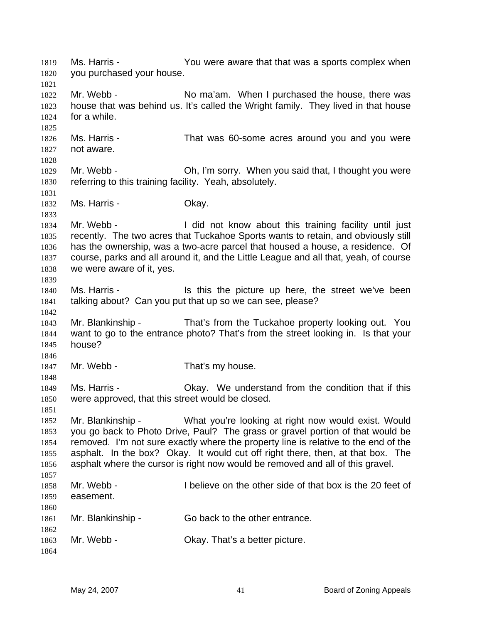Ms. Harris - You were aware that that was a sports complex when you purchased your house. 1819 1820 1821 1822 1823 1824 1825 1826 1827 1828 1829 1830 1831 1832 1833 1834 1835 1836 1837 1838 1839 1840 1841 1842 1843 1844 1845 1846 1847 1848 1849 1850 1851 1852 1853 1854 1855 1856 1857 1858 1859 1860 1861 1862 1863 1864 Mr. Webb - No ma'am. When I purchased the house, there was house that was behind us. It's called the Wright family. They lived in that house for a while. Ms. Harris - That was 60-some acres around you and you were not aware. Mr. Webb - Ch, I'm sorry. When you said that, I thought you were referring to this training facility. Yeah, absolutely. Ms. Harris - Chay. Mr. Webb - I did not know about this training facility until just recently. The two acres that Tuckahoe Sports wants to retain, and obviously still has the ownership, was a two-acre parcel that housed a house, a residence. Of course, parks and all around it, and the Little League and all that, yeah, of course we were aware of it, yes. Ms. Harris - The Music of this the picture up here, the street we've been talking about? Can you put that up so we can see, please? Mr. Blankinship - That's from the Tuckahoe property looking out. You want to go to the entrance photo? That's from the street looking in. Is that your house? Mr. Webb - That's my house. Ms. Harris - Okay. We understand from the condition that if this were approved, that this street would be closed. Mr. Blankinship - What you're looking at right now would exist. Would you go back to Photo Drive, Paul? The grass or gravel portion of that would be removed. I'm not sure exactly where the property line is relative to the end of the asphalt. In the box? Okay. It would cut off right there, then, at that box. The asphalt where the cursor is right now would be removed and all of this gravel. Mr. Webb - I believe on the other side of that box is the 20 feet of easement. Mr. Blankinship - Go back to the other entrance. Mr. Webb - Ckay. That's a better picture.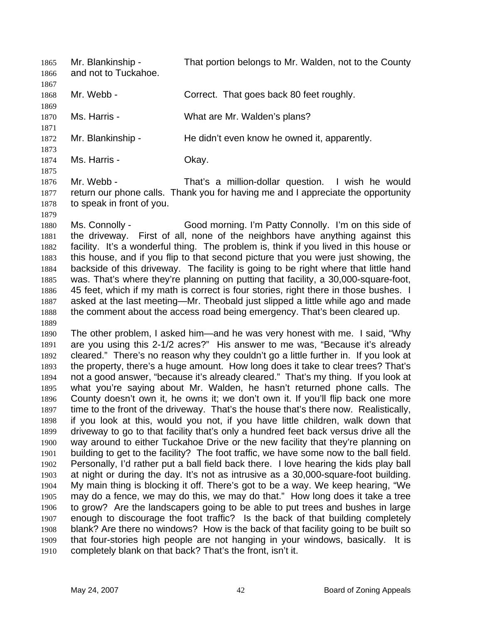Mr. Blankinship - That portion belongs to Mr. Walden, not to the County and not to Tuckahoe. 1865 1866 1867 1868 1869 1870 1871 1872 1873 1874 1875 1876 1877 1878 1879 1880 1881 1882 1883 1884 1885 1886 1887 1888 1889 1890 1891 1892 1893 1894 1895 1896 1897 1898 1899 1900 1901 1902 1903 1904 1905 1906 1907 1908 1909 1910 Mr. Webb - Correct. That goes back 80 feet roughly. Ms. Harris - What are Mr. Walden's plans? Mr. Blankinship - He didn't even know he owned it, apparently. Ms. Harris - Ckay. Mr. Webb - That's a million-dollar question. I wish he would return our phone calls. Thank you for having me and I appreciate the opportunity to speak in front of you. Ms. Connolly - Good morning. I'm Patty Connolly. I'm on this side of the driveway. First of all, none of the neighbors have anything against this facility. It's a wonderful thing. The problem is, think if you lived in this house or this house, and if you flip to that second picture that you were just showing, the backside of this driveway. The facility is going to be right where that little hand was. That's where they're planning on putting that facility, a 30,000-square-foot, 45 feet, which if my math is correct is four stories, right there in those bushes. I asked at the last meeting—Mr. Theobald just slipped a little while ago and made the comment about the access road being emergency. That's been cleared up. The other problem, I asked him—and he was very honest with me. I said, "Why are you using this 2-1/2 acres?" His answer to me was, "Because it's already cleared." There's no reason why they couldn't go a little further in. If you look at the property, there's a huge amount. How long does it take to clear trees? That's not a good answer, "because it's already cleared." That's my thing. If you look at what you're saying about Mr. Walden, he hasn't returned phone calls. The County doesn't own it, he owns it; we don't own it. If you'll flip back one more time to the front of the driveway. That's the house that's there now. Realistically, if you look at this, would you not, if you have little children, walk down that driveway to go to that facility that's only a hundred feet back versus drive all the way around to either Tuckahoe Drive or the new facility that they're planning on building to get to the facility? The foot traffic, we have some now to the ball field. Personally, I'd rather put a ball field back there. I love hearing the kids play ball at night or during the day. It's not as intrusive as a 30,000-square-foot building. My main thing is blocking it off. There's got to be a way. We keep hearing, "We may do a fence, we may do this, we may do that." How long does it take a tree to grow? Are the landscapers going to be able to put trees and bushes in large enough to discourage the foot traffic? Is the back of that building completely blank? Are there no windows? How is the back of that facility going to be built so that four-stories high people are not hanging in your windows, basically. It is completely blank on that back? That's the front, isn't it.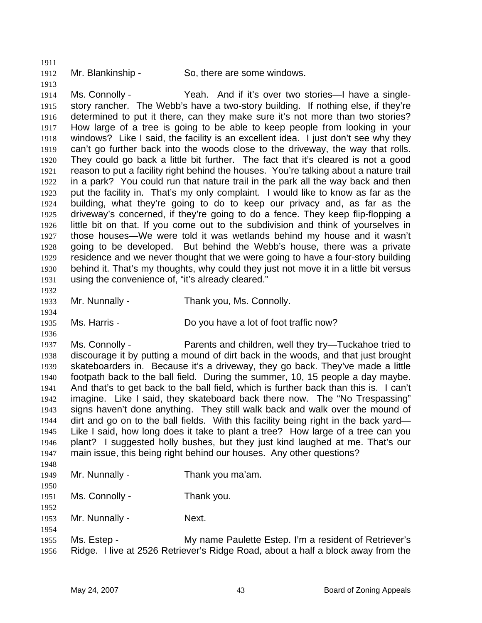1912

1911

1913

1934

1936

1950

1952

1954

Mr. Blankinship - So, there are some windows.

1914 1915 1916 1917 1918 1919 1920 1921 1922 1923 1924 1925 1926 1927 1928 1929 1930 1931 1932 Ms. Connolly - Yeah. And if it's over two stories—I have a singlestory rancher. The Webb's have a two-story building. If nothing else, if they're determined to put it there, can they make sure it's not more than two stories? How large of a tree is going to be able to keep people from looking in your windows? Like I said, the facility is an excellent idea. I just don't see why they can't go further back into the woods close to the driveway, the way that rolls. They could go back a little bit further. The fact that it's cleared is not a good reason to put a facility right behind the houses. You're talking about a nature trail in a park? You could run that nature trail in the park all the way back and then put the facility in. That's my only complaint. I would like to know as far as the building, what they're going to do to keep our privacy and, as far as the driveway's concerned, if they're going to do a fence. They keep flip-flopping a little bit on that. If you come out to the subdivision and think of yourselves in those houses—We were told it was wetlands behind my house and it wasn't going to be developed. But behind the Webb's house, there was a private residence and we never thought that we were going to have a four-story building behind it. That's my thoughts, why could they just not move it in a little bit versus using the convenience of, "it's already cleared."

1933 Mr. Nunnally - Thank you, Ms. Connolly.

1935 Ms. Harris - **Do you have a lot of foot traffic now**?

1937 1938 1939 1940 1941 1942 1943 1944 1945 1946 1947 1948 Ms. Connolly - Parents and children, well they try—Tuckahoe tried to discourage it by putting a mound of dirt back in the woods, and that just brought skateboarders in. Because it's a driveway, they go back. They've made a little footpath back to the ball field. During the summer, 10, 15 people a day maybe. And that's to get back to the ball field, which is further back than this is. I can't imagine. Like I said, they skateboard back there now. The "No Trespassing" signs haven't done anything. They still walk back and walk over the mound of dirt and go on to the ball fields. With this facility being right in the back yard— Like I said, how long does it take to plant a tree? How large of a tree can you plant? I suggested holly bushes, but they just kind laughed at me. That's our main issue, this being right behind our houses. Any other questions?

- 1949 Mr. Nunnally - Thank you ma'am.
- 1951 Ms. Connolly - Thank you.
- 1953 Mr. Nunnally - Next.
- 1955 1956 Ms. Estep - My name Paulette Estep. I'm a resident of Retriever's Ridge. I live at 2526 Retriever's Ridge Road, about a half a block away from the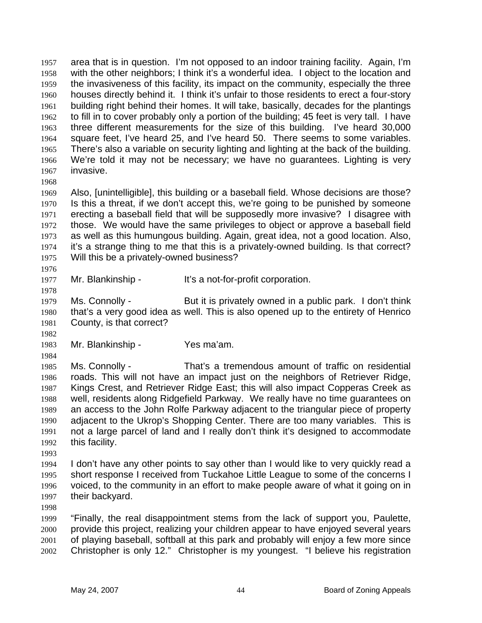area that is in question. I'm not opposed to an indoor training facility. Again, I'm with the other neighbors; I think it's a wonderful idea. I object to the location and the invasiveness of this facility, its impact on the community, especially the three houses directly behind it. I think it's unfair to those residents to erect a four-story building right behind their homes. It will take, basically, decades for the plantings to fill in to cover probably only a portion of the building; 45 feet is very tall. I have three different measurements for the size of this building. I've heard 30,000 square feet, I've heard 25, and I've heard 50. There seems to some variables. There's also a variable on security lighting and lighting at the back of the building. We're told it may not be necessary; we have no guarantees. Lighting is very invasive. 1957 1958 1959 1960 1961 1962 1963 1964 1965 1966 1967

1968

1969 1970 1971 1972 1973 1974 1975 Also, [unintelligible], this building or a baseball field. Whose decisions are those? Is this a threat, if we don't accept this, we're going to be punished by someone erecting a baseball field that will be supposedly more invasive? I disagree with those. We would have the same privileges to object or approve a baseball field as well as this humungous building. Again, great idea, not a good location. Also, it's a strange thing to me that this is a privately-owned building. Is that correct? Will this be a privately-owned business?

1976

1977 1978 Mr. Blankinship - It's a not-for-profit corporation.

1979 1980 1981 Ms. Connolly - But it is privately owned in a public park. I don't think that's a very good idea as well. This is also opened up to the entirety of Henrico County, is that correct?

1983 Mr. Blankinship - Yes ma'am.

1984

1982

1985 1986 1987 1988 1989 1990 1991 1992 Ms. Connolly - That's a tremendous amount of traffic on residential roads. This will not have an impact just on the neighbors of Retriever Ridge, Kings Crest, and Retriever Ridge East; this will also impact Copperas Creek as well, residents along Ridgefield Parkway. We really have no time guarantees on an access to the John Rolfe Parkway adjacent to the triangular piece of property adjacent to the Ukrop's Shopping Center. There are too many variables. This is not a large parcel of land and I really don't think it's designed to accommodate this facility.

1993

1994 1995 1996 1997 I don't have any other points to say other than I would like to very quickly read a short response I received from Tuckahoe Little League to some of the concerns I voiced, to the community in an effort to make people aware of what it going on in their backyard.

1998

1999 2000 2001 2002 "Finally, the real disappointment stems from the lack of support you, Paulette, provide this project, realizing your children appear to have enjoyed several years of playing baseball, softball at this park and probably will enjoy a few more since Christopher is only 12." Christopher is my youngest. "I believe his registration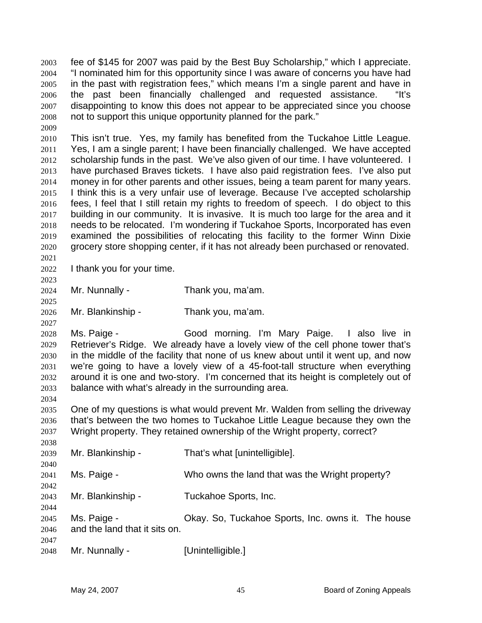fee of \$145 for 2007 was paid by the Best Buy Scholarship," which I appreciate. "I nominated him for this opportunity since I was aware of concerns you have had in the past with registration fees," which means I'm a single parent and have in the past been financially challenged and requested assistance. "It's disappointing to know this does not appear to be appreciated since you choose not to support this unique opportunity planned for the park." 2003 2004 2005 2006 2007 2008 2009

2010 2011 2012 2013 2014 2015 2016 2017 2018 2019 2020 2021 This isn't true. Yes, my family has benefited from the Tuckahoe Little League. Yes, I am a single parent; I have been financially challenged. We have accepted scholarship funds in the past. We've also given of our time. I have volunteered. I have purchased Braves tickets. I have also paid registration fees. I've also put money in for other parents and other issues, being a team parent for many years. I think this is a very unfair use of leverage. Because I've accepted scholarship fees, I feel that I still retain my rights to freedom of speech. I do object to this building in our community. It is invasive. It is much too large for the area and it needs to be relocated. I'm wondering if Tuckahoe Sports, Incorporated has even examined the possibilities of relocating this facility to the former Winn Dixie grocery store shopping center, if it has not already been purchased or renovated.

2022 I thank you for your time.

2023

2025

2027

2034

2024 Mr. Nunnally - Thank you, ma'am.

2026 Mr. Blankinship - Thank you, ma'am.

2028 2029 2030 2031 2032 2033 Ms. Paige - Good morning. I'm Mary Paige. I also live in Retriever's Ridge. We already have a lovely view of the cell phone tower that's in the middle of the facility that none of us knew about until it went up, and now we're going to have a lovely view of a 45-foot-tall structure when everything around it is one and two-story. I'm concerned that its height is completely out of balance with what's already in the surrounding area.

2035 2036 2037 2038 One of my questions is what would prevent Mr. Walden from selling the driveway that's between the two homes to Tuckahoe Little League because they own the Wright property. They retained ownership of the Wright property, correct?

| 2038 |                               |                                                    |
|------|-------------------------------|----------------------------------------------------|
| 2039 | Mr. Blankinship -             | That's what [unintelligible].                      |
| 2040 |                               |                                                    |
| 2041 | Ms. Paige -                   | Who owns the land that was the Wright property?    |
| 2042 |                               |                                                    |
| 2043 | Mr. Blankinship -             | Tuckahoe Sports, Inc.                              |
| 2044 |                               |                                                    |
| 2045 | Ms. Paige -                   | Okay. So, Tuckahoe Sports, Inc. owns it. The house |
| 2046 | and the land that it sits on. |                                                    |
| 2047 |                               |                                                    |
| 2048 | Mr. Nunnally -                | [Unintelligible.]                                  |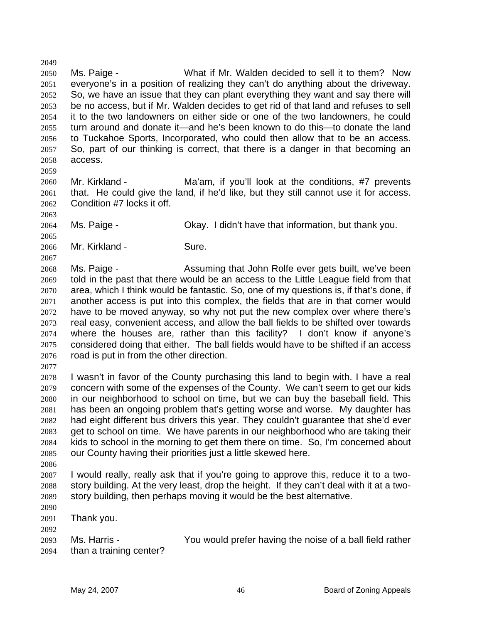2050 2051 2052 2053 2054 2055 2056 2057 2058 Ms. Paige - What if Mr. Walden decided to sell it to them? Now everyone's in a position of realizing they can't do anything about the driveway. So, we have an issue that they can plant everything they want and say there will be no access, but if Mr. Walden decides to get rid of that land and refuses to sell it to the two landowners on either side or one of the two landowners, he could turn around and donate it—and he's been known to do this—to donate the land to Tuckahoe Sports, Incorporated, who could then allow that to be an access. So, part of our thinking is correct, that there is a danger in that becoming an access.

2060 2061 2062 Mr. Kirkland - The Ma'am, if you'll look at the conditions, #7 prevents that. He could give the land, if he'd like, but they still cannot use it for access. Condition #7 locks it off.

2064 Ms. Paige - Chay. I didn't have that information, but thank you.

2066 Mr. Kirkland - Sure.

2068 2069 2070 2071 2072 2073 2074 2075 2076 Ms. Paige - Assuming that John Rolfe ever gets built, we've been told in the past that there would be an access to the Little League field from that area, which I think would be fantastic. So, one of my questions is, if that's done, if another access is put into this complex, the fields that are in that corner would have to be moved anyway, so why not put the new complex over where there's real easy, convenient access, and allow the ball fields to be shifted over towards where the houses are, rather than this facility? I don't know if anyone's considered doing that either. The ball fields would have to be shifted if an access road is put in from the other direction.

2077

2049

2059

2063

2065

2067

2078 2079 2080 2081 2082 2083 2084 2085 I wasn't in favor of the County purchasing this land to begin with. I have a real concern with some of the expenses of the County. We can't seem to get our kids in our neighborhood to school on time, but we can buy the baseball field. This has been an ongoing problem that's getting worse and worse. My daughter has had eight different bus drivers this year. They couldn't guarantee that she'd ever get to school on time. We have parents in our neighborhood who are taking their kids to school in the morning to get them there on time. So, I'm concerned about our County having their priorities just a little skewed here.

2086

2087 2088 2089 I would really, really ask that if you're going to approve this, reduce it to a twostory building. At the very least, drop the height. If they can't deal with it at a twostory building, then perhaps moving it would be the best alternative.

2090

2091 2092 Thank you.

2093 2094 Ms. Harris - The You would prefer having the noise of a ball field rather than a training center?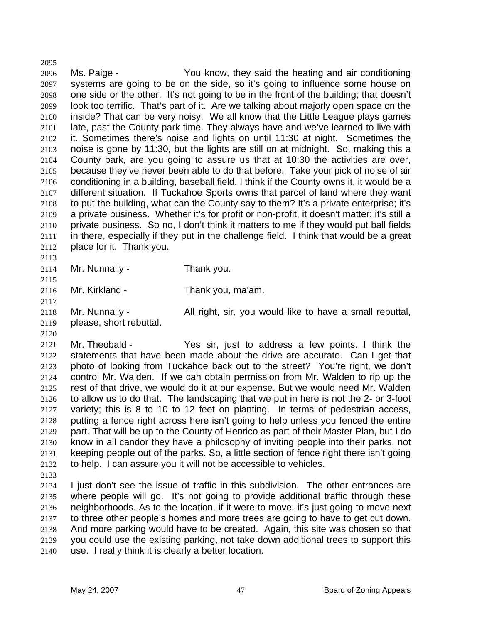2096 2097 2098 2099 2100 2101 2102 2103 2104 2105 2106 2107 2108 2109 2110 2111 2112 Ms. Paige - You know, they said the heating and air conditioning systems are going to be on the side, so it's going to influence some house on one side or the other. It's not going to be in the front of the building; that doesn't look too terrific. That's part of it. Are we talking about majorly open space on the inside? That can be very noisy. We all know that the Little League plays games late, past the County park time. They always have and we've learned to live with it. Sometimes there's noise and lights on until 11:30 at night. Sometimes the noise is gone by 11:30, but the lights are still on at midnight. So, making this a County park, are you going to assure us that at 10:30 the activities are over, because they've never been able to do that before. Take your pick of noise of air conditioning in a building, baseball field. I think if the County owns it, it would be a different situation. If Tuckahoe Sports owns that parcel of land where they want to put the building, what can the County say to them? It's a private enterprise; it's a private business. Whether it's for profit or non-profit, it doesn't matter; it's still a private business. So no, I don't think it matters to me if they would put ball fields in there, especially if they put in the challenge field. I think that would be a great place for it. Thank you.

2113 2114 2115

2117

2120

2095

Mr. Nunnally - Thank you.

2116 Mr. Kirkland - Thank you, ma'am.

2118 2119 Mr. Nunnally - All right, sir, you would like to have a small rebuttal, please, short rebuttal.

2121 2122 2123 2124 2125 2126 2127 2128 2129 2130 2131 2132 Mr. Theobald - Yes sir, just to address a few points. I think the statements that have been made about the drive are accurate. Can I get that photo of looking from Tuckahoe back out to the street? You're right, we don't control Mr. Walden. If we can obtain permission from Mr. Walden to rip up the rest of that drive, we would do it at our expense. But we would need Mr. Walden to allow us to do that. The landscaping that we put in here is not the 2- or 3-foot variety; this is 8 to 10 to 12 feet on planting. In terms of pedestrian access, putting a fence right across here isn't going to help unless you fenced the entire part. That will be up to the County of Henrico as part of their Master Plan, but I do know in all candor they have a philosophy of inviting people into their parks, not keeping people out of the parks. So, a little section of fence right there isn't going to help. I can assure you it will not be accessible to vehicles.

2133

2134 2135 2136 2137 2138 2139 2140 I just don't see the issue of traffic in this subdivision. The other entrances are where people will go. It's not going to provide additional traffic through these neighborhoods. As to the location, if it were to move, it's just going to move next to three other people's homes and more trees are going to have to get cut down. And more parking would have to be created. Again, this site was chosen so that you could use the existing parking, not take down additional trees to support this use. I really think it is clearly a better location.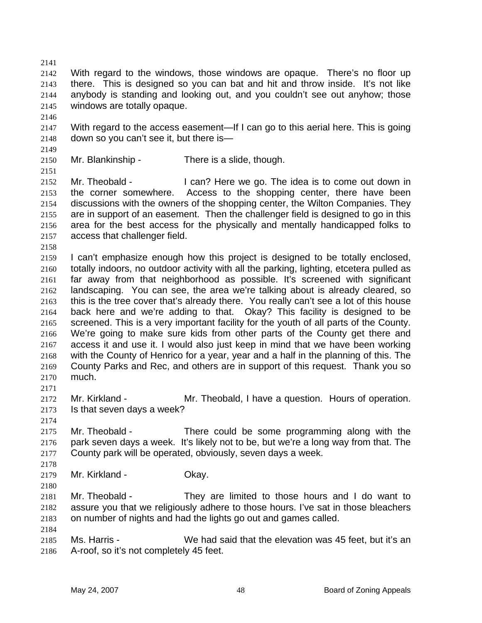2141 2142 2143 2144 2145 With regard to the windows, those windows are opaque. There's no floor up there. This is designed so you can bat and hit and throw inside. It's not like anybody is standing and looking out, and you couldn't see out anyhow; those windows are totally opaque.

2146

2147 2148 With regard to the access easement—If I can go to this aerial here. This is going down so you can't see it, but there is—

2149

2151

2150 Mr. Blankinship - There is a slide, though.

2152 2153 2154 2155 2156 2157 Mr. Theobald - I can? Here we go. The idea is to come out down in the corner somewhere. Access to the shopping center, there have been discussions with the owners of the shopping center, the Wilton Companies. They are in support of an easement. Then the challenger field is designed to go in this area for the best access for the physically and mentally handicapped folks to access that challenger field.

2158

2171

2174

2178

2180

2184

2159 2160 2161 2162 2163 2164 2165 2166 2167 2168 2169 2170 I can't emphasize enough how this project is designed to be totally enclosed, totally indoors, no outdoor activity with all the parking, lighting, etcetera pulled as far away from that neighborhood as possible. It's screened with significant landscaping. You can see, the area we're talking about is already cleared, so this is the tree cover that's already there. You really can't see a lot of this house back here and we're adding to that. Okay? This facility is designed to be screened. This is a very important facility for the youth of all parts of the County. We're going to make sure kids from other parts of the County get there and access it and use it. I would also just keep in mind that we have been working with the County of Henrico for a year, year and a half in the planning of this. The County Parks and Rec, and others are in support of this request. Thank you so much.

2172 2173 Mr. Kirkland - Theobald, I have a question. Hours of operation. Is that seven days a week?

2175 2176 2177 Mr. Theobald - There could be some programming along with the park seven days a week. It's likely not to be, but we're a long way from that. The County park will be operated, obviously, seven days a week.

2179 Mr. Kirkland - **Okay.** 

2181 2182 2183 Mr. Theobald - They are limited to those hours and I do want to assure you that we religiously adhere to those hours. I've sat in those bleachers on number of nights and had the lights go out and games called.

2185 2186 Ms. Harris - We had said that the elevation was 45 feet, but it's an A-roof, so it's not completely 45 feet.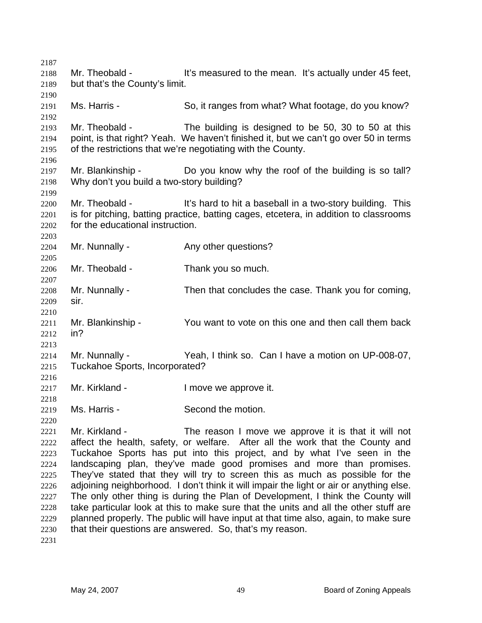2187 2188 2189 2190 2191 2192 2193 2194 2195 2196 2197 2198 2199 2200 2201 2202 2203 2204 2205 2206 2207 2208 2209 2210 2211 2212 2213 2214 2215 2216 2217 2218 2219 2220 2221 2222 2223 2224 2225 2226 2227 2228 2229 2230 2231 Mr. Theobald - It's measured to the mean. It's actually under 45 feet, but that's the County's limit. Ms. Harris - So, it ranges from what? What footage, do you know? Mr. Theobald - The building is designed to be 50, 30 to 50 at this point, is that right? Yeah. We haven't finished it, but we can't go over 50 in terms of the restrictions that we're negotiating with the County. Mr. Blankinship - The Do you know why the roof of the building is so tall? Why don't you build a two-story building? Mr. Theobald - It's hard to hit a baseball in a two-story building. This is for pitching, batting practice, batting cages, etcetera, in addition to classrooms for the educational instruction. Mr. Nunnally - The Any other questions? Mr. Theobald - Thank you so much. Mr. Nunnally - Then that concludes the case. Thank you for coming, sir. Mr. Blankinship - You want to vote on this one and then call them back in? Mr. Nunnally - Yeah, I think so. Can I have a motion on UP-008-07, Tuckahoe Sports, Incorporated? Mr. Kirkland - The Real Muslim I move we approve it. Ms. Harris - Second the motion. Mr. Kirkland - The reason I move we approve it is that it will not affect the health, safety, or welfare. After all the work that the County and Tuckahoe Sports has put into this project, and by what I've seen in the landscaping plan, they've made good promises and more than promises. They've stated that they will try to screen this as much as possible for the adjoining neighborhood. I don't think it will impair the light or air or anything else. The only other thing is during the Plan of Development, I think the County will take particular look at this to make sure that the units and all the other stuff are planned properly. The public will have input at that time also, again, to make sure that their questions are answered. So, that's my reason.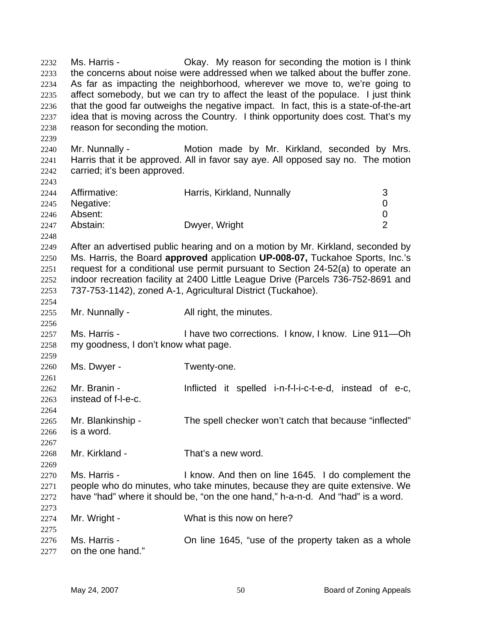Ms. Harris - Okay. My reason for seconding the motion is I think the concerns about noise were addressed when we talked about the buffer zone. As far as impacting the neighborhood, wherever we move to, we're going to affect somebody, but we can try to affect the least of the populace. I just think that the good far outweighs the negative impact. In fact, this is a state-of-the-art idea that is moving across the Country. I think opportunity does cost. That's my reason for seconding the motion. 2232 2233 2234 2235 2236 2237 2238 2239 2240 2241 2242 2243 2244 2245 2246 2247 2248 2249 2250 2251 2252 2253 2254 2255 2256 2257 2258 2259 2260 2261 2262 2263 2264 2265 2266 2267 2268 2269 2270 2271 2272 2273 2274 2275 2276 2277 Mr. Nunnally - The Motion made by Mr. Kirkland, seconded by Mrs. Harris that it be approved. All in favor say aye. All opposed say no. The motion carried; it's been approved. Affirmative: **Harris, Kirkland, Nunnally** 3 Negative: 0 Absent: 0 Abstain: Dwyer, Wright 2 After an advertised public hearing and on a motion by Mr. Kirkland, seconded by Ms. Harris, the Board **approved** application **UP-008-07,** Tuckahoe Sports, Inc.'s request for a conditional use permit pursuant to Section 24-52(a) to operate an indoor recreation facility at 2400 Little League Drive (Parcels 736-752-8691 and 737-753-1142), zoned A-1, Agricultural District (Tuckahoe). Mr. Nunnally - All right, the minutes. Ms. Harris - Thave two corrections. I know, I know. Line 911-Oh my goodness, I don't know what page. Ms. Dwyer - Twenty-one. Mr. Branin - The Inflicted it spelled i-n-f-l-i-c-t-e-d, instead of e-c, instead of f-l-e-c. Mr. Blankinship - The spell checker won't catch that because "inflected" is a word. Mr. Kirkland - That's a new word. Ms. Harris - I know. And then on line 1645. I do complement the people who do minutes, who take minutes, because they are quite extensive. We have "had" where it should be, "on the one hand," h-a-n-d. And "had" is a word. Mr. Wright - What is this now on here? Ms. Harris - Christed Music 1645, "use of the property taken as a whole on the one hand."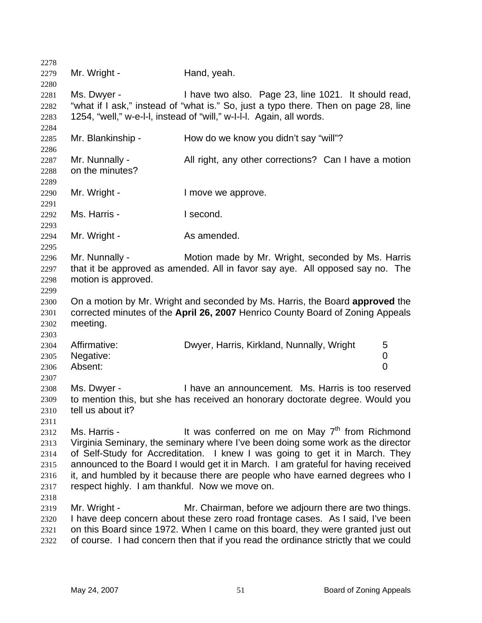| 2278 |                                                                               |                                                                                     |  |
|------|-------------------------------------------------------------------------------|-------------------------------------------------------------------------------------|--|
| 2279 | Mr. Wright -                                                                  | Hand, yeah.                                                                         |  |
| 2280 |                                                                               |                                                                                     |  |
| 2281 | Ms. Dwyer -                                                                   | I have two also. Page 23, line 1021. It should read,                                |  |
| 2282 |                                                                               | "what if I ask," instead of "what is." So, just a typo there. Then on page 28, line |  |
| 2283 |                                                                               | 1254, "well," w-e-I-I, instead of "will," w-I-I-I. Again, all words.                |  |
| 2284 |                                                                               |                                                                                     |  |
| 2285 | Mr. Blankinship -                                                             | How do we know you didn't say "will"?                                               |  |
| 2286 |                                                                               |                                                                                     |  |
| 2287 | Mr. Nunnally -                                                                | All right, any other corrections? Can I have a motion                               |  |
| 2288 | on the minutes?                                                               |                                                                                     |  |
| 2289 |                                                                               |                                                                                     |  |
| 2290 | Mr. Wright -                                                                  | I move we approve.                                                                  |  |
| 2291 |                                                                               |                                                                                     |  |
| 2292 | Ms. Harris -                                                                  | I second.                                                                           |  |
| 2293 |                                                                               |                                                                                     |  |
| 2294 | Mr. Wright -                                                                  | As amended.                                                                         |  |
| 2295 |                                                                               |                                                                                     |  |
| 2296 | Mr. Nunnally -                                                                | Motion made by Mr. Wright, seconded by Ms. Harris                                   |  |
| 2297 | that it be approved as amended. All in favor say aye. All opposed say no. The |                                                                                     |  |
| 2298 | motion is approved.                                                           |                                                                                     |  |
| 2299 |                                                                               |                                                                                     |  |
| 2300 |                                                                               | On a motion by Mr. Wright and seconded by Ms. Harris, the Board approved the        |  |
| 2301 |                                                                               | corrected minutes of the April 26, 2007 Henrico County Board of Zoning Appeals      |  |
| 2302 | meeting.                                                                      |                                                                                     |  |
| 2303 |                                                                               |                                                                                     |  |
| 2304 | Affirmative:                                                                  | Dwyer, Harris, Kirkland, Nunnally, Wright<br>5                                      |  |
| 2305 | Negative:                                                                     | 0                                                                                   |  |
| 2306 | Absent:                                                                       | $\overline{0}$                                                                      |  |
| 2307 |                                                                               |                                                                                     |  |
| 2308 | Ms. Dwyer -                                                                   | I have an announcement. Ms. Harris is too reserved                                  |  |
| 2309 |                                                                               | to mention this, but she has received an honorary doctorate degree. Would you       |  |
| 2310 | tell us about it?                                                             |                                                                                     |  |
| 2311 |                                                                               |                                                                                     |  |
| 2312 | Ms. Harris -                                                                  | It was conferred on me on May 7 <sup>th</sup> from Richmond                         |  |
| 2313 |                                                                               | Virginia Seminary, the seminary where I've been doing some work as the director     |  |
| 2314 |                                                                               | of Self-Study for Accreditation. I knew I was going to get it in March. They        |  |
| 2315 |                                                                               | announced to the Board I would get it in March. I am grateful for having received   |  |
| 2316 |                                                                               | it, and humbled by it because there are people who have earned degrees who I        |  |
| 2317 | respect highly. I am thankful. Now we move on.                                |                                                                                     |  |
| 2318 |                                                                               |                                                                                     |  |
| 2319 | Mr. Wright -                                                                  | Mr. Chairman, before we adjourn there are two things.                               |  |
| 2320 |                                                                               | I have deep concern about these zero road frontage cases. As I said, I've been      |  |
| 2321 |                                                                               | on this Board since 1972. When I came on this board, they were granted just out     |  |
| 2322 |                                                                               | of course. I had concern then that if you read the ordinance strictly that we could |  |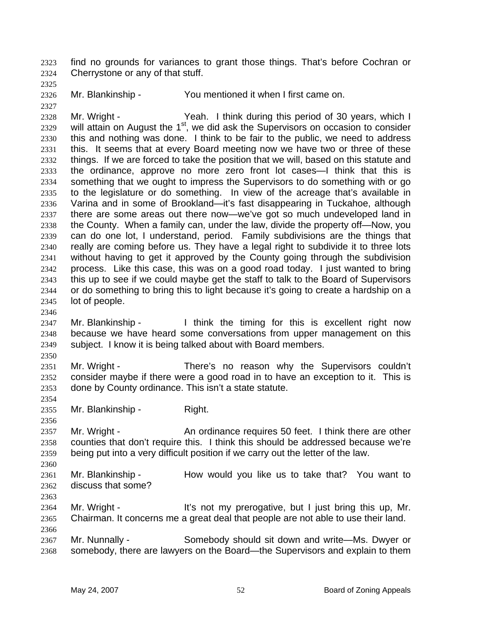find no grounds for variances to grant those things. That's before Cochran or Cherrystone or any of that stuff. 2323 2324

2325

2327

2326 Mr. Blankinship - You mentioned it when I first came on.

2328 2329 2330 2331 2332 2333 2334 2335 2336 2337 2338 2339 2340 2341 2342 2343 2344 2345 Mr. Wright - Yeah. I think during this period of 30 years, which I will attain on August the  $1<sup>st</sup>$ , we did ask the Supervisors on occasion to consider this and nothing was done. I think to be fair to the public, we need to address this. It seems that at every Board meeting now we have two or three of these things. If we are forced to take the position that we will, based on this statute and the ordinance, approve no more zero front lot cases—I think that this is something that we ought to impress the Supervisors to do something with or go to the legislature or do something. In view of the acreage that's available in Varina and in some of Brookland—it's fast disappearing in Tuckahoe, although there are some areas out there now—we've got so much undeveloped land in the County. When a family can, under the law, divide the property off—Now, you can do one lot, I understand, period. Family subdivisions are the things that really are coming before us. They have a legal right to subdivide it to three lots without having to get it approved by the County going through the subdivision process. Like this case, this was on a good road today. I just wanted to bring this up to see if we could maybe get the staff to talk to the Board of Supervisors or do something to bring this to light because it's going to create a hardship on a lot of people.

- 2347 2348 2349 Mr. Blankinship - Think the timing for this is excellent right now because we have heard some conversations from upper management on this subject. I know it is being talked about with Board members.
- 2350

2354

2356

2360

2363

2366

2346

2351 2352 2353 Mr. Wright - There's no reason why the Supervisors couldn't consider maybe if there were a good road in to have an exception to it. This is done by County ordinance. This isn't a state statute.

2355 Mr. Blankinship - Right.

2357 2358 2359 Mr. Wright - **An ordinance requires 50 feet.** I think there are other counties that don't require this. I think this should be addressed because we're being put into a very difficult position if we carry out the letter of the law.

2361 2362 Mr. Blankinship - How would you like us to take that? You want to discuss that some?

2364 2365 Mr. Wright - The Music of the Mr prerogative, but I just bring this up, Mr. Chairman. It concerns me a great deal that people are not able to use their land.

2367 2368 Mr. Nunnally - Somebody should sit down and write—Ms. Dwyer or somebody, there are lawyers on the Board—the Supervisors and explain to them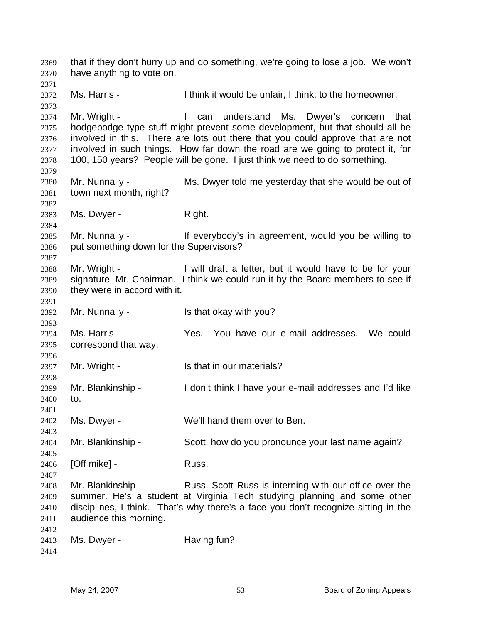that if they don't hurry up and do something, we're going to lose a job. We won't have anything to vote on. 2369 2370 2371 2372 2373 2374 2375 2376 2377 2378 2379 2380 2381 2382 2383 2384 2385 2386 2387 2388 2389 2390 2391 2392 2393 2394 2395 2396 2397 2398 2399 2400 2401 2402 2403 2404 2405 2406 2407 2408 2409 2410 2411 2412 2413 2414 Ms. Harris - Think it would be unfair, I think, to the homeowner. Mr. Wright - The Can understand Ms. Dwyer's concern that hodgepodge type stuff might prevent some development, but that should all be involved in this. There are lots out there that you could approve that are not involved in such things. How far down the road are we going to protect it, for 100, 150 years? People will be gone. I just think we need to do something. Mr. Nunnally - Ms. Dwyer told me yesterday that she would be out of town next month, right? Ms. Dwyer - Right. Mr. Nunnally - The Music of the everybody's in agreement, would you be willing to put something down for the Supervisors? Mr. Wright - I will draft a letter, but it would have to be for your signature, Mr. Chairman. I think we could run it by the Board members to see if they were in accord with it. Mr. Nunnally - Is that okay with you? Ms. Harris - Yes. You have our e-mail addresses. We could correspond that way. Mr. Wright - Is that in our materials? Mr. Blankinship - I don't think I have your e-mail addresses and I'd like to. Ms. Dwyer - We'll hand them over to Ben. Mr. Blankinship - Scott, how do you pronounce your last name again? [Off mike] - Russ. Mr. Blankinship - Russ. Scott Russ is interning with our office over the summer. He's a student at Virginia Tech studying planning and some other disciplines, I think. That's why there's a face you don't recognize sitting in the audience this morning. Ms. Dwyer - **Having fun?**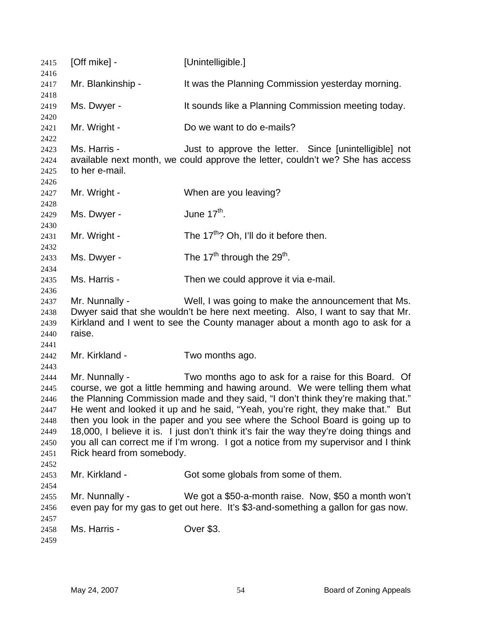| 2415                                                                 | [Off mike] -                                                                                                                                                                                                                                                                                                                                                                                                                                                                                                                                                                                                               | [Unintelligible.]                                                                                                                                                                                                      |
|----------------------------------------------------------------------|----------------------------------------------------------------------------------------------------------------------------------------------------------------------------------------------------------------------------------------------------------------------------------------------------------------------------------------------------------------------------------------------------------------------------------------------------------------------------------------------------------------------------------------------------------------------------------------------------------------------------|------------------------------------------------------------------------------------------------------------------------------------------------------------------------------------------------------------------------|
| 2416<br>2417                                                         | Mr. Blankinship -                                                                                                                                                                                                                                                                                                                                                                                                                                                                                                                                                                                                          | It was the Planning Commission yesterday morning.                                                                                                                                                                      |
| 2418                                                                 |                                                                                                                                                                                                                                                                                                                                                                                                                                                                                                                                                                                                                            |                                                                                                                                                                                                                        |
| 2419                                                                 | Ms. Dwyer -                                                                                                                                                                                                                                                                                                                                                                                                                                                                                                                                                                                                                | It sounds like a Planning Commission meeting today.                                                                                                                                                                    |
| 2420<br>2421<br>2422                                                 | Mr. Wright -                                                                                                                                                                                                                                                                                                                                                                                                                                                                                                                                                                                                               | Do we want to do e-mails?                                                                                                                                                                                              |
| 2423<br>2424<br>2425<br>2426                                         | Ms. Harris -<br>to her e-mail.                                                                                                                                                                                                                                                                                                                                                                                                                                                                                                                                                                                             | Just to approve the letter. Since [unintelligible] not<br>available next month, we could approve the letter, couldn't we? She has access                                                                               |
| 2427                                                                 | Mr. Wright -                                                                                                                                                                                                                                                                                                                                                                                                                                                                                                                                                                                                               | When are you leaving?                                                                                                                                                                                                  |
| 2428<br>2429                                                         | Ms. Dwyer -                                                                                                                                                                                                                                                                                                                                                                                                                                                                                                                                                                                                                | June $17th$ .                                                                                                                                                                                                          |
| 2430<br>2431                                                         | Mr. Wright -                                                                                                                                                                                                                                                                                                                                                                                                                                                                                                                                                                                                               | The 17 <sup>th</sup> ? Oh, I'll do it before then.                                                                                                                                                                     |
| 2432<br>2433                                                         | Ms. Dwyer -                                                                                                                                                                                                                                                                                                                                                                                                                                                                                                                                                                                                                | The 17 <sup>th</sup> through the 29 <sup>th</sup> .                                                                                                                                                                    |
| 2434<br>2435                                                         | Ms. Harris -                                                                                                                                                                                                                                                                                                                                                                                                                                                                                                                                                                                                               | Then we could approve it via e-mail.                                                                                                                                                                                   |
| 2436<br>2437<br>2438<br>2439<br>2440<br>2441                         | Mr. Nunnally -<br>raise.                                                                                                                                                                                                                                                                                                                                                                                                                                                                                                                                                                                                   | Well, I was going to make the announcement that Ms.<br>Dwyer said that she wouldn't be here next meeting. Also, I want to say that Mr.<br>Kirkland and I went to see the County manager about a month ago to ask for a |
| 2442<br>2443                                                         | Mr. Kirkland -                                                                                                                                                                                                                                                                                                                                                                                                                                                                                                                                                                                                             | Two months ago.                                                                                                                                                                                                        |
| 2444<br>2445<br>2446<br>2447<br>2448<br>2449<br>2450<br>2451<br>2452 | Mr. Nunnally -<br>Two months ago to ask for a raise for this Board. Of<br>course, we got a little hemming and hawing around. We were telling them what<br>the Planning Commission made and they said, "I don't think they're making that."<br>He went and looked it up and he said, "Yeah, you're right, they make that." But<br>then you look in the paper and you see where the School Board is going up to<br>18,000, I believe it is. I just don't think it's fair the way they're doing things and<br>you all can correct me if I'm wrong. I got a notice from my supervisor and I think<br>Rick heard from somebody. |                                                                                                                                                                                                                        |
| 2453                                                                 | Mr. Kirkland -                                                                                                                                                                                                                                                                                                                                                                                                                                                                                                                                                                                                             | Got some globals from some of them.                                                                                                                                                                                    |
| 2454<br>2455<br>2456<br>2457                                         | Mr. Nunnally -                                                                                                                                                                                                                                                                                                                                                                                                                                                                                                                                                                                                             | We got a \$50-a-month raise. Now, \$50 a month won't<br>even pay for my gas to get out here. It's \$3-and-something a gallon for gas now.                                                                              |
| 2458<br>2459                                                         | Ms. Harris -                                                                                                                                                                                                                                                                                                                                                                                                                                                                                                                                                                                                               | Over \$3.                                                                                                                                                                                                              |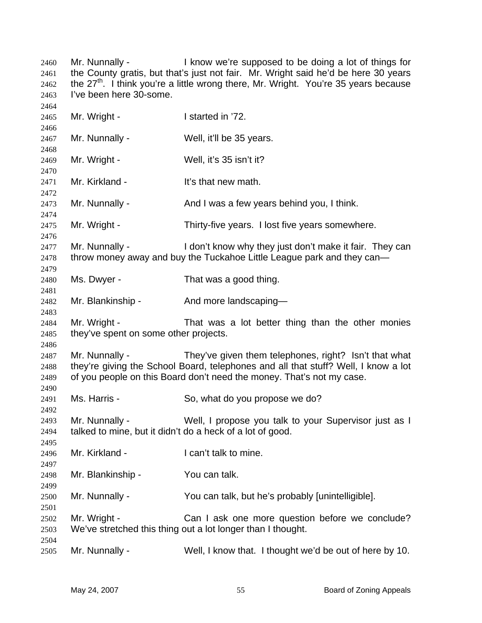Mr. Nunnally - I know we're supposed to be doing a lot of things for the County gratis, but that's just not fair. Mr. Wright said he'd be here 30 years the 27<sup>th</sup>. I think you're a little wrong there, Mr. Wright. You're 35 years because I've been here 30-some. Mr. Wright - I started in '72. Mr. Nunnally - Well, it'll be 35 years. Mr. Wright - Well, it's 35 isn't it? Mr. Kirkland - It's that new math. Mr. Nunnally - And I was a few years behind you, I think. Mr. Wright - Thirty-five years. I lost five years somewhere. Mr. Nunnally - The I don't know why they just don't make it fair. They can throw money away and buy the Tuckahoe Little League park and they can— Ms. Dwyer - That was a good thing. Mr. Blankinship - And more landscaping— Mr. Wright - That was a lot better thing than the other monies they've spent on some other projects. Mr. Nunnally - They've given them telephones, right? Isn't that what they're giving the School Board, telephones and all that stuff? Well, I know a lot of you people on this Board don't need the money. That's not my case. Ms. Harris - So, what do you propose we do? Mr. Nunnally - Well, I propose you talk to your Supervisor just as I talked to mine, but it didn't do a heck of a lot of good. Mr. Kirkland - **I can't talk to mine.** Mr. Blankinship - You can talk. Mr. Nunnally - You can talk, but he's probably [unintelligible]. Mr. Wright - The Can I ask one more question before we conclude? We've stretched this thing out a lot longer than I thought. Mr. Nunnally - Well, I know that. I thought we'd be out of here by 10.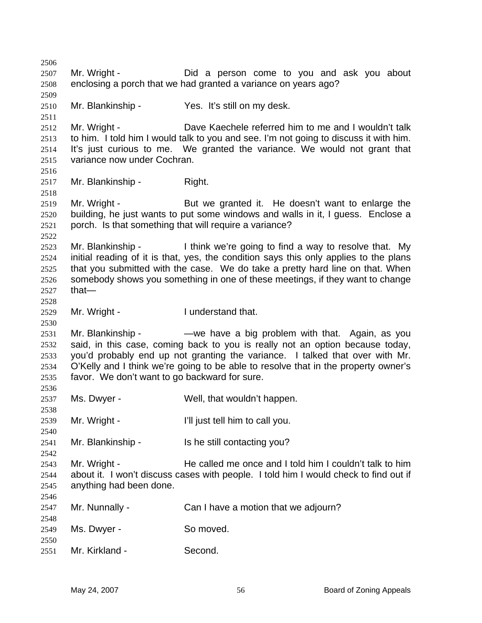2506 2507 2508 2509 2510 2511 2512 2513 2514 2515 2516 2517 2518 2519 2520 2521 2522 2523 2524 2525 2526 2527 2528 2529 2530 2531 2532 2533 2534 2535 2536 2537 2538 2539 2540 2541 2542 2543 2544 2545 2546 2547 2548 2549 2550 2551 Mr. Wright - The Did a person come to you and ask you about enclosing a porch that we had granted a variance on years ago? Mr. Blankinship - Yes. It's still on my desk. Mr. Wright - Dave Kaechele referred him to me and I wouldn't talk to him. I told him I would talk to you and see. I'm not going to discuss it with him. It's just curious to me. We granted the variance. We would not grant that variance now under Cochran. Mr. Blankinship - Right. Mr. Wright - But we granted it. He doesn't want to enlarge the building, he just wants to put some windows and walls in it, I guess. Enclose a porch. Is that something that will require a variance? Mr. Blankinship - Think we're going to find a way to resolve that. My initial reading of it is that, yes, the condition says this only applies to the plans that you submitted with the case. We do take a pretty hard line on that. When somebody shows you something in one of these meetings, if they want to change that— Mr. Wright - The I understand that. Mr. Blankinship - — — — we have a big problem with that. Again, as you said, in this case, coming back to you is really not an option because today, you'd probably end up not granting the variance. I talked that over with Mr. O'Kelly and I think we're going to be able to resolve that in the property owner's favor. We don't want to go backward for sure. Ms. Dwyer - Well, that wouldn't happen. Mr. Wright - The I'll just tell him to call you. Mr. Blankinship - Is he still contacting you? Mr. Wright - The called me once and I told him I couldn't talk to him about it. I won't discuss cases with people. I told him I would check to find out if anything had been done. Mr. Nunnally - Can I have a motion that we adjourn? Ms. Dwyer - So moved. Mr. Kirkland - Second.